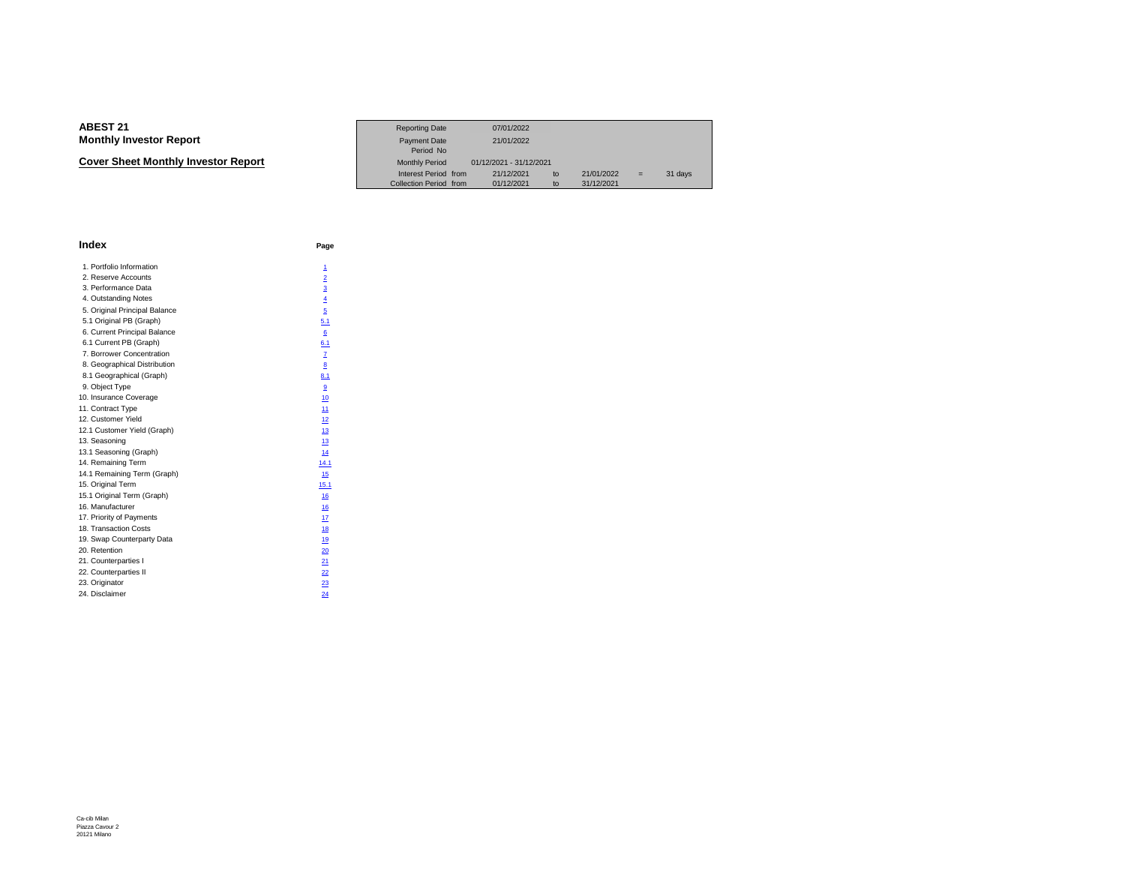| <b>Cover Sheet Monthly Investor Report</b> |
|--------------------------------------------|
|--------------------------------------------|

|                             | <b>Reporting Date</b>            | 07/01/2022              |    |            |     |         |  |
|-----------------------------|----------------------------------|-------------------------|----|------------|-----|---------|--|
| Investor Report             | <b>Payment Date</b><br>Period No | 21/01/2022              |    |            |     |         |  |
| eet Monthlv Investor Report | <b>Monthly Period</b>            | 01/12/2021 - 31/12/2021 |    |            |     |         |  |
|                             | Interest Period from             | 21/12/2021              | to | 21/01/2022 | $=$ | 31 days |  |
|                             | Collection Period from           | 01/12/2021              | to | 31/12/2021 |     |         |  |

| <b>Index</b>                  | Page             |
|-------------------------------|------------------|
| 1. Portfolio Information      | 1                |
| 2. Reserve Accounts           | $\overline{2}$   |
| 3. Performance Data           | 3                |
| 4. Outstanding Notes          | $\overline{4}$   |
| 5. Original Principal Balance | 5                |
| 5.1 Original PB (Graph)       | 5.1              |
| 6. Current Principal Balance  | 6                |
| 6.1 Current PB (Graph)        | 6.1              |
| 7. Borrower Concentration     | $\mathbf{Z}$     |
| 8. Geographical Distribution  | 8                |
| 8.1 Geographical (Graph)      | 8.1              |
| 9. Object Type                | $\overline{9}$   |
| 10. Insurance Coverage        | 10               |
| 11. Contract Type             | 11               |
| 12. Customer Yield            | 12               |
| 12.1 Customer Yield (Graph)   | 13               |
| 13. Seasoning                 | 13               |
| 13.1 Seasoning (Graph)        | 14               |
| 14. Remaining Term            | 14.1             |
| 14.1 Remaining Term (Graph)   | 15 <sub>15</sub> |
| 15. Original Term             | 15.1             |
| 15.1 Original Term (Graph)    | 16               |
| 16. Manufacturer              | 16               |
| 17. Priority of Payments      | 17               |
| 18. Transaction Costs         | 18               |
| 19. Swap Counterparty Data    | 19               |
| 20. Retention                 | 20               |
| 21. Counterparties I          | 21               |
| 22. Counterparties II         | 22               |
| 23. Originator                | 23               |
| 24. Disclaimer                | 24               |
|                               |                  |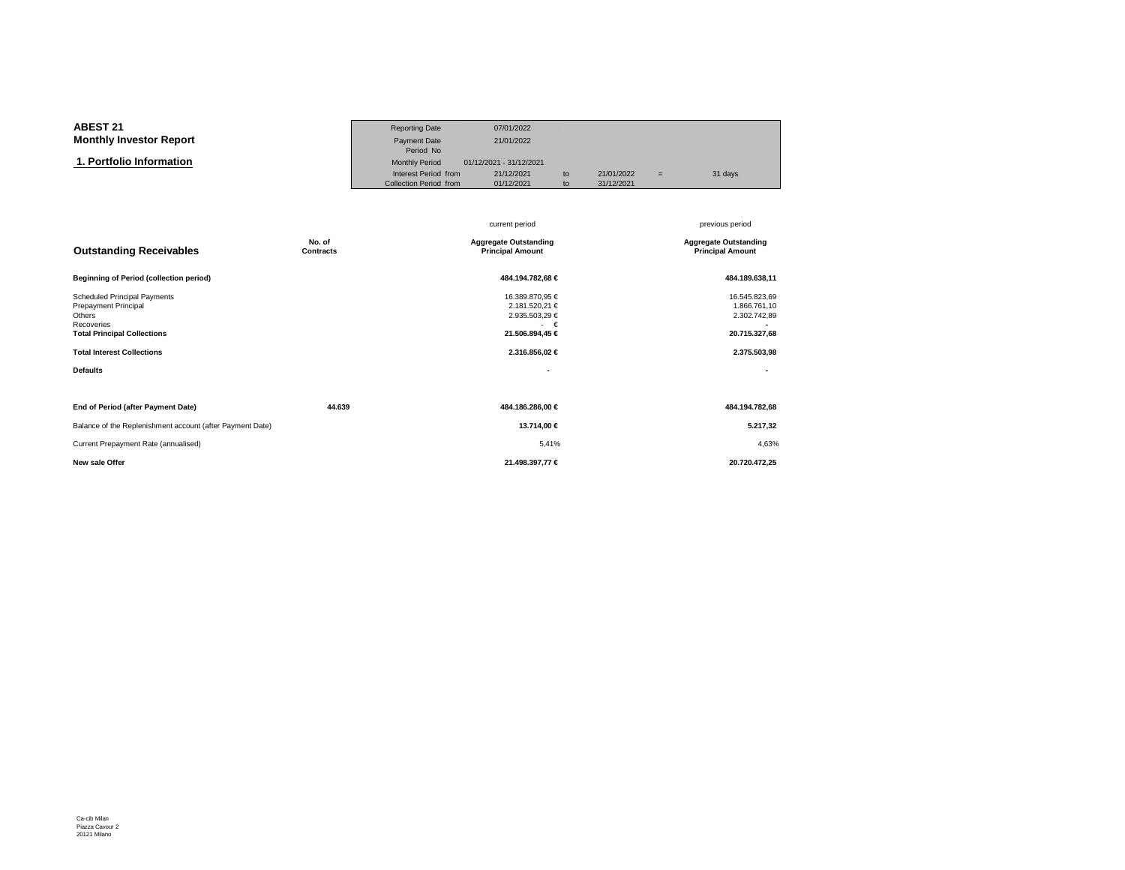| <b>ABEST 21</b>                | <b>Reporting Date</b>  | 07/01/2022              |    |            |     |         |
|--------------------------------|------------------------|-------------------------|----|------------|-----|---------|
| <b>Monthly Investor Report</b> | Payment Date           | 21/01/2022              |    |            |     |         |
|                                | Period No              |                         |    |            |     |         |
| 1. Portfolio Information       | <b>Monthly Period</b>  | 01/12/2021 - 31/12/2021 |    |            |     |         |
|                                | Interest Period from   | 21/12/2021              | to | 21/01/2022 | $=$ | 31 days |
|                                | Collection Period from | 01/12/2021              | to | 31/12/2021 |     |         |

|                                                                                                                                                                                   |                     | current period                                                                                          | previous period                                                                |
|-----------------------------------------------------------------------------------------------------------------------------------------------------------------------------------|---------------------|---------------------------------------------------------------------------------------------------------|--------------------------------------------------------------------------------|
| <b>Outstanding Receivables</b>                                                                                                                                                    | No. of<br>Contracts | <b>Aggregate Outstanding</b><br><b>Principal Amount</b>                                                 | <b>Aggregate Outstanding</b><br><b>Principal Amount</b>                        |
| <b>Beginning of Period (collection period)</b>                                                                                                                                    |                     | 484.194.782,68 €                                                                                        | 484.189.638,11                                                                 |
| <b>Scheduled Principal Payments</b><br>Prepayment Principal<br>Others<br>Recoveries<br><b>Total Principal Collections</b><br><b>Total Interest Collections</b><br><b>Defaults</b> |                     | 16.389.870,95 €<br>2.181.520,21 €<br>2.935.503,29 €<br>$\cdot \in$<br>21.506.894,45 €<br>2.316.856,02 € | 16.545.823,69<br>1.866.761,10<br>2.302.742,89<br>20.715.327,68<br>2.375.503,98 |
|                                                                                                                                                                                   |                     |                                                                                                         |                                                                                |
| End of Period (after Payment Date)                                                                                                                                                | 44.639              | 484.186.286,00 €                                                                                        | 484.194.782,68                                                                 |
| Balance of the Replenishment account (after Payment Date)                                                                                                                         |                     | 13.714,00 €                                                                                             | 5.217,32                                                                       |
| Current Prepayment Rate (annualised)                                                                                                                                              |                     | 5,41%                                                                                                   | 4,63%                                                                          |
| New sale Offer                                                                                                                                                                    |                     | 21.498.397,77 €                                                                                         | 20.720.472,25                                                                  |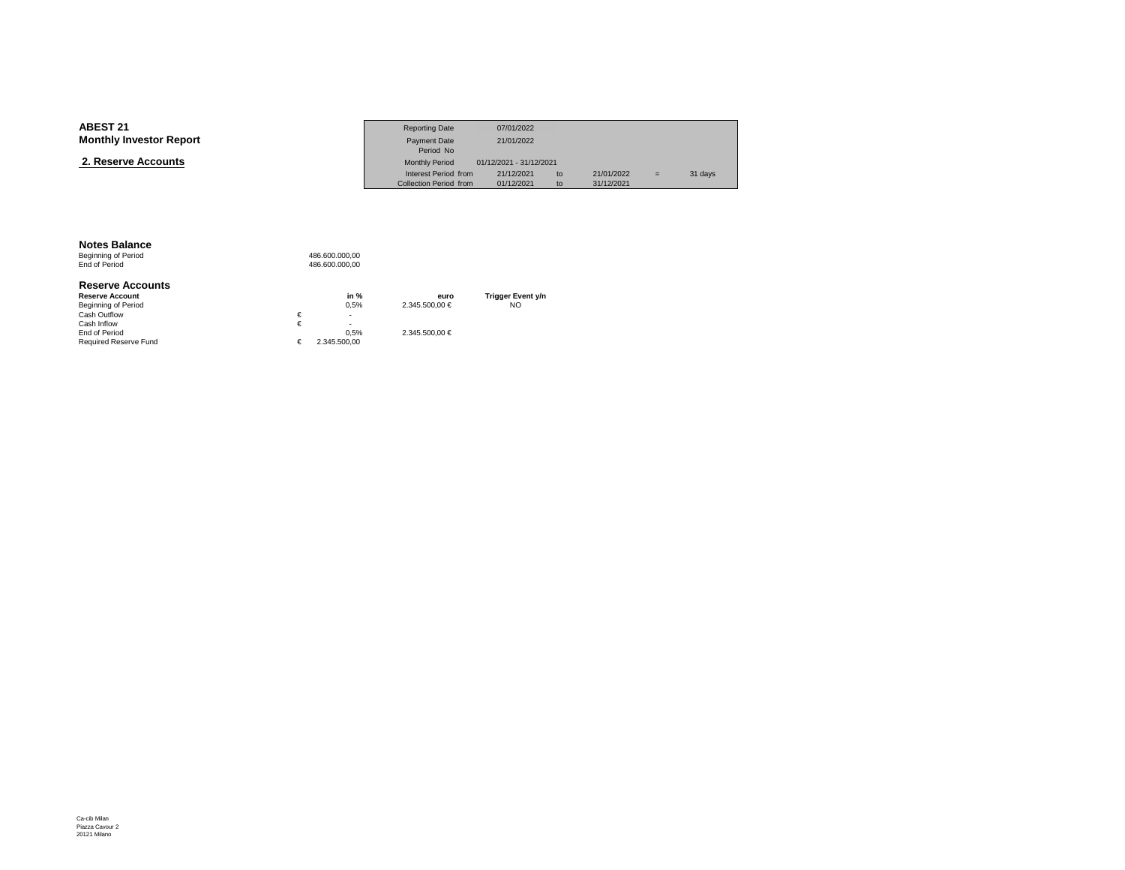| <b>ABEST 21</b>                | <b>Reporting Date</b>                          | 07/01/2022               |          |                          |     |         |
|--------------------------------|------------------------------------------------|--------------------------|----------|--------------------------|-----|---------|
| <b>Monthly Investor Report</b> | Payment Date<br>Period No                      | 21/01/2022               |          |                          |     |         |
| 2. Reserve Accounts            | <b>Monthly Period</b>                          | 01/12/2021 - 31/12/2021  |          |                          |     |         |
|                                | Interest Period from<br>Collection Period from | 21/12/2021<br>01/12/2021 | to<br>to | 21/01/2022<br>31/12/2021 | $=$ | 31 days |
|                                |                                                |                          |          |                          |     |         |

### **Notes Balance**

Beginning of Period<br>End of Period 486.600.000,00 486.600.000,00

### **Reserve Accounts**

| <b>Reserve Account</b>       | in %         | euro           | <b>Trigger Event y/n</b> |
|------------------------------|--------------|----------------|--------------------------|
| Beginning of Period          | 0.5%         | 2.345.500.00 € | NO                       |
| Cash Outflow                 | ۰            |                |                          |
| Cash Inflow                  | ۰            |                |                          |
| End of Period                | 0.5%         | 2.345.500.00 € |                          |
| <b>Required Reserve Fund</b> | 2.345.500.00 |                |                          |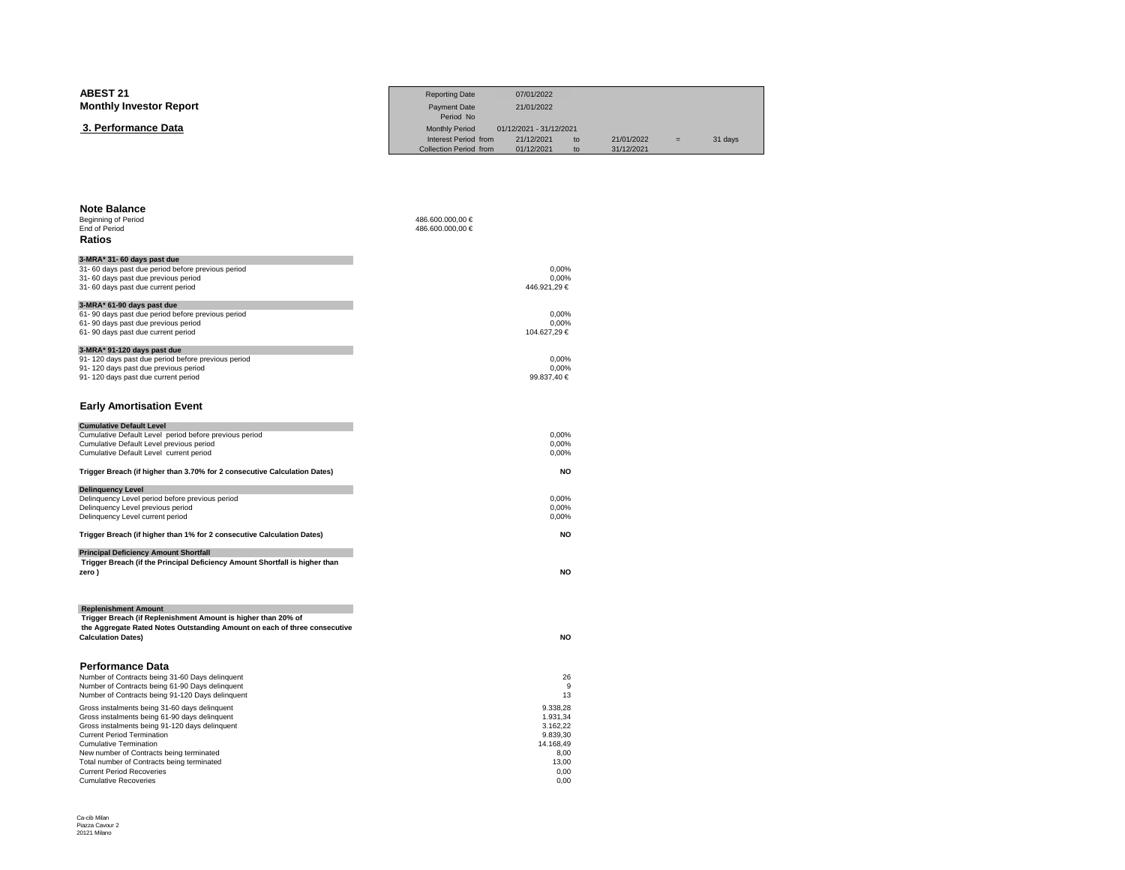| <b>ABEST 21</b>                                                                                                                            | <b>Reporting Date</b>                | 07/01/2022                 |            |         |
|--------------------------------------------------------------------------------------------------------------------------------------------|--------------------------------------|----------------------------|------------|---------|
| <b>Monthly Investor Report</b>                                                                                                             | <b>Payment Date</b>                  | 21/01/2022                 |            |         |
| 3. Performance Data                                                                                                                        | Period No<br><b>Monthly Period</b>   | 01/12/2021 - 31/12/2021    |            |         |
|                                                                                                                                            | Interest Period from                 | 21/12/2021<br>$t_{\Omega}$ | 21/01/2022 | 31 days |
|                                                                                                                                            | Collection Period from               | 01/12/2021<br>to           | 31/12/2021 |         |
|                                                                                                                                            |                                      |                            |            |         |
|                                                                                                                                            |                                      |                            |            |         |
| <b>Note Balance</b>                                                                                                                        |                                      |                            |            |         |
| Beginning of Period<br>End of Period                                                                                                       | 486.600.000,00 €<br>486.600.000,00 € |                            |            |         |
| Ratios                                                                                                                                     |                                      |                            |            |         |
| 3-MRA* 31- 60 days past due                                                                                                                |                                      |                            |            |         |
| 31-60 days past due period before previous period<br>31- 60 days past due previous period                                                  |                                      | 0,00%<br>0,00%             |            |         |
| 31- 60 days past due current period                                                                                                        |                                      | 446.921,29 €               |            |         |
| 3-MRA* 61-90 days past due<br>61-90 days past due period before previous period                                                            |                                      | 0.00%                      |            |         |
| 61-90 days past due previous period                                                                                                        |                                      | 0,00%                      |            |         |
| 61-90 days past due current period                                                                                                         |                                      | 104.627,29 €               |            |         |
| 3-MRA* 91-120 days past due                                                                                                                |                                      |                            |            |         |
| 91-120 days past due period before previous period<br>91-120 days past due previous period                                                 |                                      | 0,00%<br>0,00%             |            |         |
| 91-120 days past due current period                                                                                                        |                                      | 99.837,40 €                |            |         |
| <b>Early Amortisation Event</b>                                                                                                            |                                      |                            |            |         |
| <b>Cumulative Default Level</b>                                                                                                            |                                      |                            |            |         |
| Cumulative Default Level period before previous period                                                                                     |                                      | 0,00%                      |            |         |
| Cumulative Default Level previous period<br>Cumulative Default Level current period                                                        |                                      | 0,00%<br>0,00%             |            |         |
| Trigger Breach (if higher than 3.70% for 2 consecutive Calculation Dates)                                                                  |                                      | <b>NO</b>                  |            |         |
| <b>Delinquency Level</b>                                                                                                                   |                                      |                            |            |         |
| Delinquency Level period before previous period<br>Delinquency Level previous period                                                       |                                      | 0,00%<br>0,00%             |            |         |
| Delinquency Level current period                                                                                                           |                                      | 0,00%                      |            |         |
| Trigger Breach (if higher than 1% for 2 consecutive Calculation Dates)                                                                     |                                      | <b>NO</b>                  |            |         |
| <b>Principal Deficiency Amount Shortfall</b>                                                                                               |                                      |                            |            |         |
| Trigger Breach (if the Principal Deficiency Amount Shortfall is higher than<br>zero)                                                       |                                      | <b>NO</b>                  |            |         |
|                                                                                                                                            |                                      |                            |            |         |
| <b>Replenishment Amount</b>                                                                                                                |                                      |                            |            |         |
| Trigger Breach (if Replenishment Amount is higher than 20% of<br>the Aggregate Rated Notes Outstanding Amount on each of three consecutive |                                      |                            |            |         |
| <b>Calculation Dates)</b>                                                                                                                  |                                      | <b>NO</b>                  |            |         |
| <b>Performance Data</b>                                                                                                                    |                                      |                            |            |         |
| Number of Contracts being 31-60 Days delinquent                                                                                            |                                      | 26                         |            |         |
| Number of Contracts being 61-90 Days delinquent<br>Number of Contracts being 91-120 Days delinquent                                        |                                      | 9<br>13                    |            |         |
| Gross instalments being 31-60 days delinquent                                                                                              |                                      | 9.338,28                   |            |         |
| Gross instalments being 61-90 days delinquent                                                                                              |                                      | 1.931,34                   |            |         |
| Gross instalments being 91-120 days delinquent<br><b>Current Period Termination</b>                                                        |                                      | 3.162,22<br>9.839,30       |            |         |
| <b>Cumulative Termination</b>                                                                                                              |                                      | 14.168,49                  |            |         |
| New number of Contracts being terminated                                                                                                   |                                      | 8,00<br>13,00              |            |         |
| Total number of Contracts being terminated<br><b>Current Period Recoveries</b>                                                             |                                      | 0,00                       |            |         |
| <b>Cumulative Recoveries</b>                                                                                                               |                                      | 0.00                       |            |         |

 $\sim$  0,00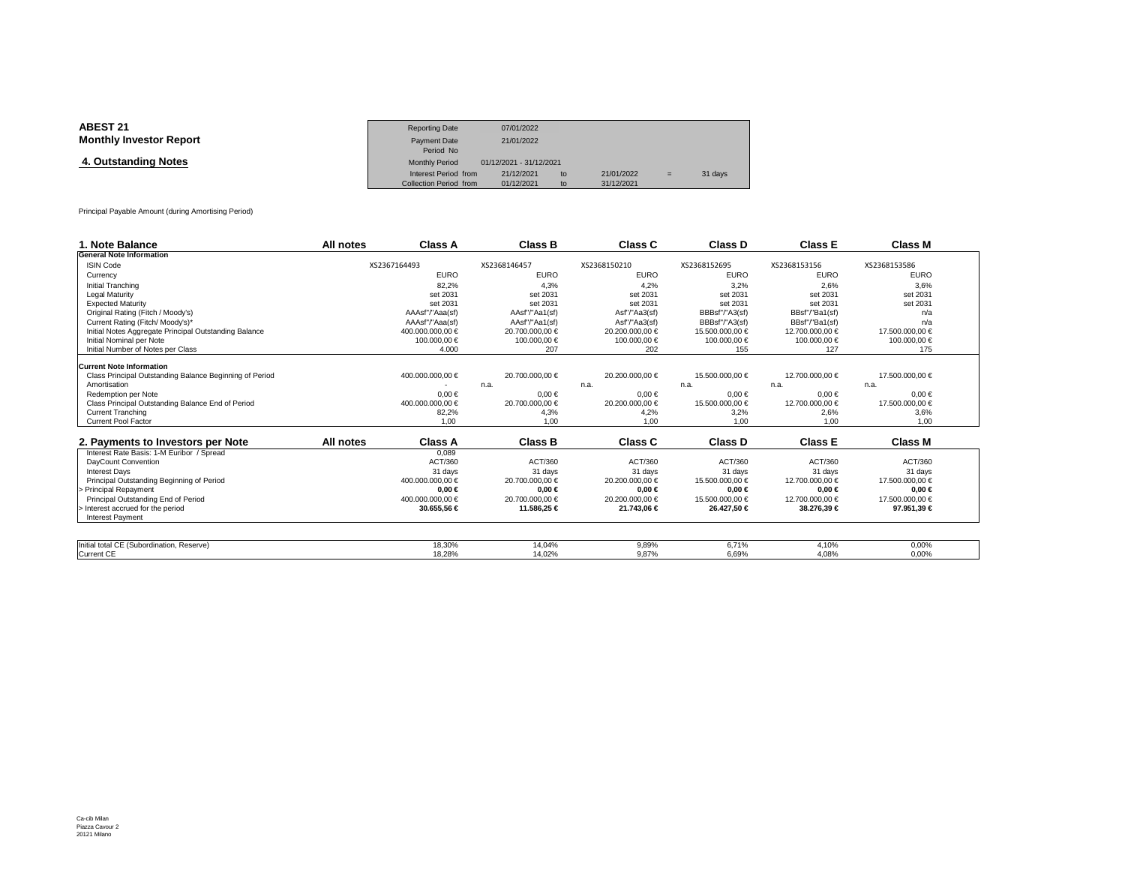| <b>ABEST 21</b>                | <b>Reporting Date</b>  | 07/01/2022              |    |            |     |         |
|--------------------------------|------------------------|-------------------------|----|------------|-----|---------|
| <b>Monthly Investor Report</b> | Payment Date           | 21/01/2022              |    |            |     |         |
|                                | Period No              |                         |    |            |     |         |
| 4. Outstanding Notes           | <b>Monthly Period</b>  | 01/12/2021 - 31/12/2021 |    |            |     |         |
|                                | Interest Period from   | 21/12/2021              | to | 21/01/2022 | $=$ | 31 days |
|                                | Collection Period from | 01/12/2021              | to | 31/12/2021 |     |         |

Principal Payable Amount (during Amortising Period)

| 1. Note Balance                                         | All notes | <b>Class A</b>   | <b>Class B</b>  |              | Class C         | Class D         | <b>Class E</b>  | <b>Class M</b>  |
|---------------------------------------------------------|-----------|------------------|-----------------|--------------|-----------------|-----------------|-----------------|-----------------|
| <b>General Note Information</b>                         |           |                  |                 |              |                 |                 |                 |                 |
| <b>ISIN Code</b>                                        |           | XS2367164493     | XS2368146457    | XS2368150210 |                 | XS2368152695    | XS2368153156    | XS2368153586    |
| Currency                                                |           | <b>EURO</b>      | <b>EURO</b>     |              | <b>EURO</b>     | <b>EURO</b>     | <b>EURO</b>     | <b>EURO</b>     |
| Initial Tranching                                       |           | 82.2%            | 4.3%            |              | 4.2%            | 3.2%            | 2.6%            | 3.6%            |
| <b>Legal Maturity</b>                                   |           | set 2031         | set 2031        |              | set 2031        | set 2031        | set 2031        | set 2031        |
| <b>Expected Maturity</b>                                |           | set 2031         | set 2031        |              | set 2031        | set 2031        | set 2031        | set 2031        |
| Original Rating (Fitch / Moody's)                       |           | AAAsf"/"Aaa(sf)  | AAsf"/"Aa1(sf)  |              | Asf"/"Aa3(sf)   | BBBsf"/"A3(sf)  | BBsf"/"Ba1(sf)  | n/a             |
| Current Rating (Fitch/ Moody's)*                        |           | AAAsf"/"Aaa(sf)  | AAsf"/"Aa1(sf)  |              | Asf"/"Aa3(sf)   | BBBsf"/"A3(sf)  | BBsf"/"Ba1(sf)  | n/a             |
| Initial Notes Aggregate Principal Outstanding Balance   |           | 400.000.000.00 € | 20.700.000.00 € |              | 20,200,000,00 € | 15.500.000,00 € | 12.700.000,00 € | 17.500.000,00 € |
| Initial Nominal per Note                                |           | 100.000,00 €     | 100.000,00 €    |              | 100.000,00 €    | 100.000,00 €    | 100000,00 €     | 100.000,00 €    |
| Initial Number of Notes per Class                       |           | 4.000            | 207             |              | 202             | 155             | 127             | 175             |
| <b>Current Note Information</b>                         |           |                  |                 |              |                 |                 |                 |                 |
| Class Principal Outstanding Balance Beginning of Period |           | 400.000.000,00 € | 20.700.000.00 € |              | 20.200.000.00 € | 15.500.000.00 € | 12.700.000.00 € | 17.500.000.00 € |
| Amortisation                                            |           |                  | n.a.            | n.a.         |                 | n.a.            | n.a.            | n.a.            |
| Redemption per Note                                     |           | $0.00 \in$       | $0.00 \in$      |              | $0.00 \in$      | $0.00 \in$      | $0.00 \in$      | $0.00 \in$      |
| Class Principal Outstanding Balance End of Period       |           | 400.000.000,00 € | 20.700.000,00 € |              | 20.200.000,00 € | 15.500.000,00 € | 12.700.000,00 € | 17.500.000,00 € |
| <b>Current Tranching</b>                                |           | 82,2%            | 4,3%            |              | 4,2%            | 3,2%            | 2,6%            | 3,6%            |
| <b>Current Pool Factor</b>                              |           | 1.00             | 1.00            |              | 1.00            | 1.00            | 1.00            | 1.00            |
|                                                         |           |                  |                 |              |                 |                 |                 |                 |
| 2. Payments to Investors per Note                       | All notes | <b>Class A</b>   | <b>Class B</b>  |              | Class C         | Class D         | <b>Class E</b>  | Class M         |
| Interest Rate Basis: 1-M Euribor / Spread               |           | 0.089            |                 |              |                 |                 |                 |                 |
| DavCount Convention                                     |           | ACT/360          | ACT/360         |              | ACT/360         | ACT/360         | ACT/360         | ACT/360         |
| <b>Interest Davs</b>                                    |           | 31 days          | 31 days         |              | 31 days         | 31 days         | 31 days         | 31 days         |
| Principal Outstanding Beginning of Period               |           | 400.000.000.00 € | 20.700.000,00 € |              | 20.200.000,00 € | 15.500.000,00 € | 12.700.000.00 € | 17.500.000,00 € |
| Principal Repayment                                     |           | $0.00 \in$       | $0.00 \in$      |              | $0.00 \in$      | $0.00 \in$      | $0.00 \in$      | $0.00 \in$      |
| Principal Outstanding End of Period                     |           | 400.000.000.00 € | 20.700.000.00 € |              | 20.200.000.00 € | 15.500.000.00 € | 12.700.000.00 € | 17.500.000.00 € |
| Interest accrued for the period                         |           | 30.655,56 €      | 11.586,25 €     |              | 21.743,06 €     | 26.427,50 €     | 38.2769€        | 97.951,39 €     |
| <b>Interest Payment</b>                                 |           |                  |                 |              |                 |                 |                 |                 |
|                                                         |           |                  |                 |              |                 |                 |                 |                 |
| Initial total CE (Subordination, Reserve)               |           | 18.30%           | 14.04%          |              | 9,89%           | 6.71%           | 4.10%           | 0,00%           |
| <b>Current CE</b>                                       |           | 18.28%           | 14.02%          |              | 9.87%           | 6.69%           | 4.08%           | 0.00%           |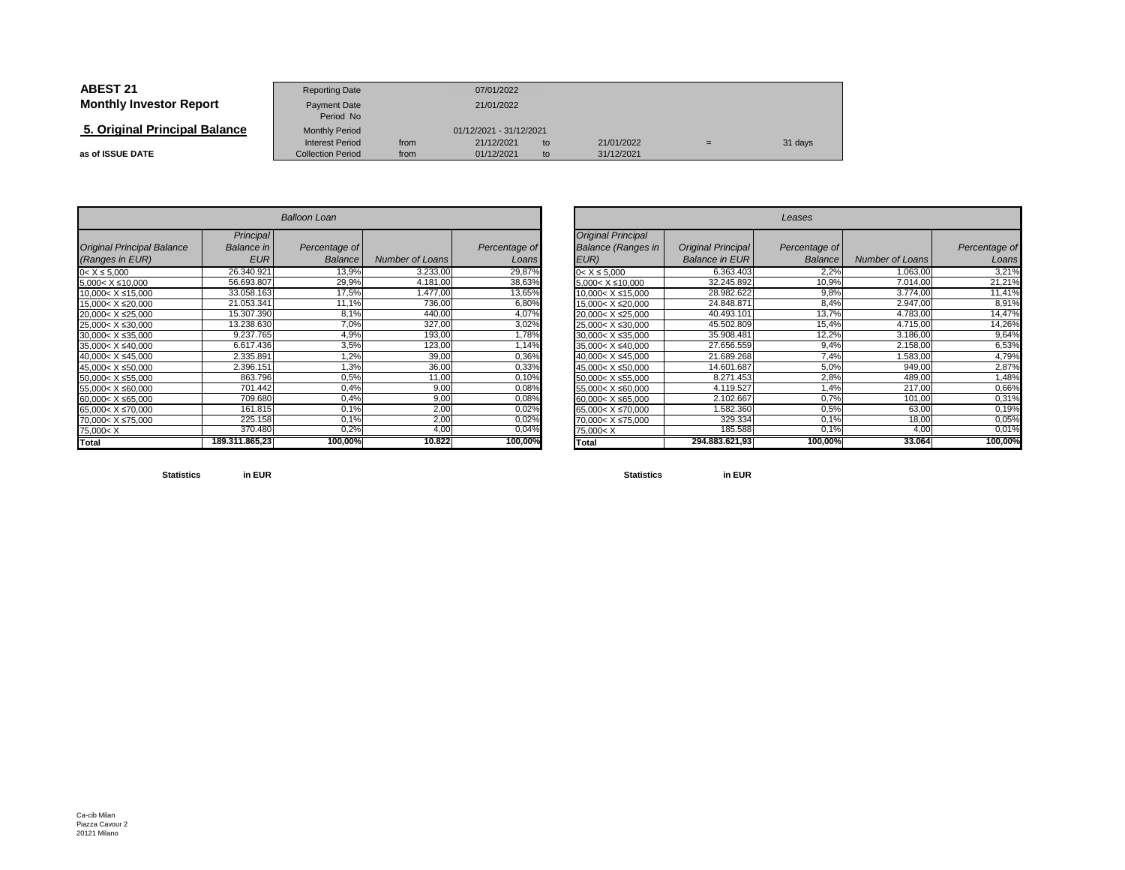| <b>ABEST 21</b>                | <b>Reporting Date</b>                              |              | 07/01/2022               |          |                          |   |         |
|--------------------------------|----------------------------------------------------|--------------|--------------------------|----------|--------------------------|---|---------|
| <b>Monthly Investor Report</b> | Payment Date<br>Period No                          |              | 21/01/2022               |          |                          |   |         |
| 5. Original Principal Balance  | <b>Monthly Period</b>                              |              | 01/12/2021 - 31/12/2021  |          |                          |   |         |
| as of ISSUE DATE               | <b>Interest Period</b><br><b>Collection Period</b> | from<br>from | 21/12/2021<br>01/12/2021 | to<br>to | 21/01/2022<br>31/12/2021 | = | 31 days |

| <b>Balloon Loan</b>                                                            |                                |               |                        |               |  |  |  |  |
|--------------------------------------------------------------------------------|--------------------------------|---------------|------------------------|---------------|--|--|--|--|
| <b>Original Principal Balance</b>                                              | Principal<br><b>Balance</b> in | Percentage of |                        | Percentage of |  |  |  |  |
| (Ranges in EUR)                                                                | <b>EUR</b>                     | Balance       | <b>Number of Loans</b> | Loans         |  |  |  |  |
| $0 < X \le 5,000$                                                              | 26.340.921                     | 13,9%         | 3.233,00               | 29,87%        |  |  |  |  |
| $5.000 < X \le 10.000$                                                         | 56.693.807                     | 29,9%         | 4.181,00               | 38,63%        |  |  |  |  |
| 10,000< X ≤15,000                                                              | 33.058.163                     | 17,5%         | 1.477,00               | 13,65%        |  |  |  |  |
| 15,000< X ≤20,000                                                              | 21.053.341                     | 11,1%         | 736,00                 | 6,80%         |  |  |  |  |
| 20,000< X ≤25,000                                                              | 15.307.390                     | 8,1%          | 440,00                 | 4,07%         |  |  |  |  |
| 25.000< X ≤30.000                                                              | 13.238.630                     | 7,0%          | 327,00                 | 3,02%         |  |  |  |  |
| 30.000< X ≤35.000                                                              | 9.237.765                      | 4,9%          | 193,00                 | 1,78%         |  |  |  |  |
| 35,000< X ≤40,000                                                              | 6.617.436                      | 3,5%          | 123,00                 | 1,14%         |  |  |  |  |
| 40.000< X ≤45.000                                                              | 2.335.891                      | 1,2%          | 39,00                  | 0,36%         |  |  |  |  |
| 45,000< X ≤50,000                                                              | 2.396.151                      | 1,3%          | 36,00                  | 0,33%         |  |  |  |  |
| 50,000< X ≤55,000                                                              | 863.796                        | 0,5%          | 11,00                  | 0,10%         |  |  |  |  |
| 55,000< X ≤60,000                                                              | 701.442                        | 0.4%          | 9,00                   | 0,08%         |  |  |  |  |
| 60,000< X ≤65,000                                                              | 709.680                        | 0,4%          | 9,00                   | 0,08%         |  |  |  |  |
| 65,000< X ≤70,000                                                              | 161.815                        | 0,1%          | 2,00                   | 0,02%         |  |  |  |  |
| 70.000< X ≤75.000                                                              | 225.158                        | 0.1%          | 2,00                   | 0,02%         |  |  |  |  |
| 75,000 <x< td=""><td>370.480</td><td>0,2%</td><td>4,00</td><td>0,04%</td></x<> | 370.480                        | 0,2%          | 4,00                   | 0,04%         |  |  |  |  |
| Total                                                                          | 189.311.865,23                 | 100,00%       | 10.822                 | 100,00%       |  |  |  |  |

|                          |                | <b>Balloon Loan</b> |                 |               |                                                                               |                           | Leases         |                        |               |
|--------------------------|----------------|---------------------|-----------------|---------------|-------------------------------------------------------------------------------|---------------------------|----------------|------------------------|---------------|
|                          | Principal      |                     |                 |               | <b>Original Principal</b>                                                     |                           |                |                        |               |
| <b>Principal Balance</b> | Balance in     | Percentage of       |                 | Percentage of | <b>Balance (Ranges in</b>                                                     | <b>Original Principal</b> | Percentage of  |                        | Percentage of |
| s in EUR)                | <b>EUR</b>     | <b>Balance</b>      | Number of Loans | Loans         | EUR)                                                                          | <b>Balance in EUR</b>     | <b>Balance</b> | <b>Number of Loans</b> | Loans         |
| 000                      | 26.340.921     | 13,9%               | 3.233,00        | 29,87%        | $0 < X \le 5.000$                                                             | 6.363.403                 | 2.2%           | 1.063,00               | 3,21%         |
| ≤10,000                  | 56.693.807     | 29,9%               | 4.181.00        | 38,63%        | $5,000 < X \leq 10,000$                                                       | 32.245.892                | 10,9%          | 7.014,00               | 21,21%        |
| X ≤15,000                | 33.058.163     | 17,5%               | 1.477.00        | 13,65%        | $10,000 < X \le 15,000$                                                       | 28.982.622                | 9,8%           | 3.774,00               | 11,41%        |
| X ≤20,000                | 21.053.341     | 11,1%               | 736,00          | 6,80%         | 15,000< X ≤20,000                                                             | 24.848.871                | 8,4%           | 2.947,00               | 8,91%         |
| X ≤25,000                | 15.307.390     | 8,1%                | 440,00          | 4,07%         | 20,000< X ≤25,000                                                             | 40.493.101                | 13,7%          | 4.783,00               | 14,47%        |
| $X \le 30,000$           | 13.238.630     | 7,0%                | 327,00          | 3,02%         | 25,000< X ≤30,000                                                             | 45.502.809                | 15,4%          | 4.715,00               | 14,26%        |
| X ≤35,000                | 9.237.765      | 4,9%                | 193,00          | 1,78%         | $30,000 < X \leq 35,000$                                                      | 35.908.481                | 12,2%          | 3.186,00               | 9,64%         |
| $X \le 40,000$           | 6.617.436      | 3,5%                | 123,00          | 1,14%         | 35,000< X ≤40,000                                                             | 27.656.559                | 9,4%           | 2.158,00               | 6,53%         |
| X ≤45,000                | 2.335.891      | 1,2%                | 39,00           | 0,36%         | 40,000< X ≤45,000                                                             | 21.689.268                | 7,4%           | 1.583,00               | 4,79%         |
| $X \le 50,000$           | 2.396.151      | 1,3%                | 36,00           | 0,33%         | 45,000< X ≤50,000                                                             | 14.601.687                | 5,0%           | 949,00                 | 2,87%         |
| X ≤55,000                | 863.796        | 0,5%                | 11,00           | 0,10%         | $50,000 < X \le 55,000$                                                       | 8.271.453                 | 2,8%           | 489,00                 | 1,48%         |
| $X \le 60,000$           | 701.442        | 0,4%                | 9,00            | 0,08%         | 55,000< X ≤60,000                                                             | 4.119.527                 | 1,4%           | 217,00                 | 0,66%         |
| X ≤65,000                | 709.680        | 0,4%                | 9,00            | 0,08%         | $60,000 < X \leq 65,000$                                                      | 2.102.667                 | 0,7%           | 101,00                 | 0,31%         |
| X ≤70,000                | 161.815        | 0.1%                | 2,00            | 0,02%         | 65,000< X ≤70,000                                                             | 1.582.360                 | 0,5%           | 63,00                  | 0,19%         |
| X ≤75,000                | 225.158        | 0,1%                | 2,00            | 0,02%         | 70,000< X ≤75,000                                                             | 329.334                   | 0,1%           | 18,00                  | 0,05%         |
|                          | 370.480        | 0,2%                | 4.00            | 0,04%         | 75,000 <x< td=""><td>185.588</td><td>0,1%</td><td>4,0</td><td>0,01%</td></x<> | 185.588                   | 0,1%           | 4,0                    | 0,01%         |
|                          | 189.311.865,23 | 100,00%             | 10.822          | 100,00%       | <b>Total</b>                                                                  | 294.883.621.93            | 100,00%        | 33.064                 | 100,00%       |

**Statistics**

**in EUR**

**Statistics in EUR**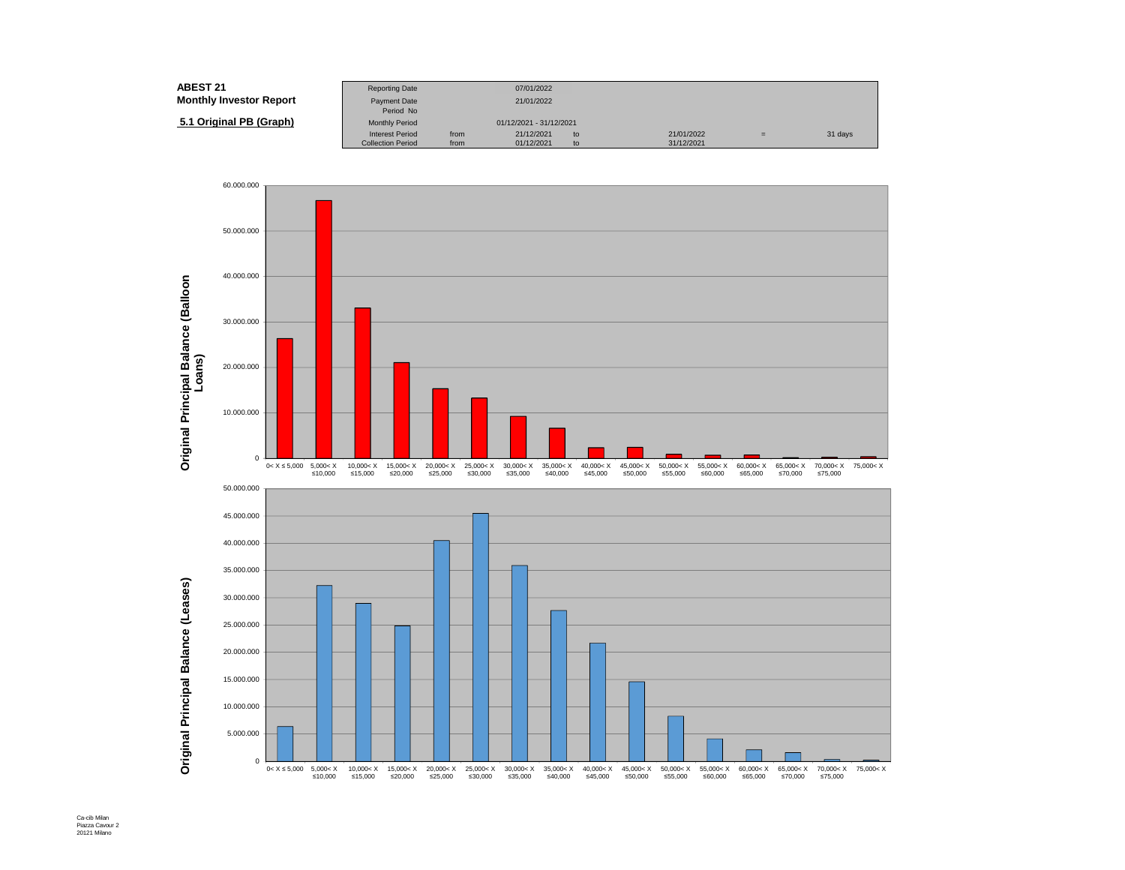| <b>ABEST 21</b>                | <b>Reporting Date</b>     |      | 07/01/2022              |    |            |     |         |
|--------------------------------|---------------------------|------|-------------------------|----|------------|-----|---------|
| <b>Monthly Investor Report</b> | Payment Date<br>Period No |      | 21/01/2022              |    |            |     |         |
| 5.1 Original PB (Graph)        | <b>Monthly Period</b>     |      | 01/12/2021 - 31/12/2021 |    |            |     |         |
|                                | <b>Interest Period</b>    | from | 21/12/2021              | to | 21/01/2022 | $=$ | 31 days |
|                                | <b>Collection Period</b>  | from | 01/12/2021              | to | 31/12/2021 |     |         |

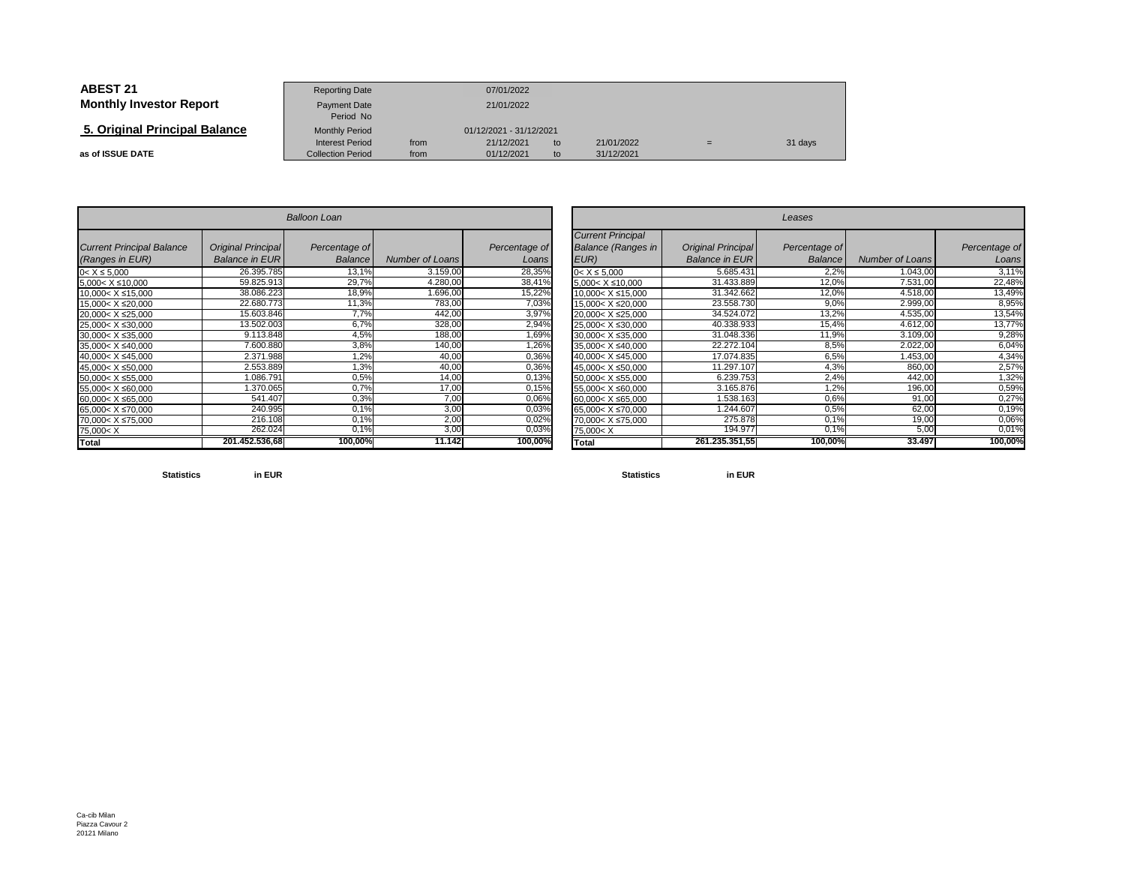| <b>ABEST 21</b>                | <b>Reporting Date</b>                              |                         | 07/01/2022               |          |                          |     |         |
|--------------------------------|----------------------------------------------------|-------------------------|--------------------------|----------|--------------------------|-----|---------|
| <b>Monthly Investor Report</b> | Payment Date<br>Period No                          |                         | 21/01/2022               |          |                          |     |         |
| 5. Original Principal Balance  | <b>Monthly Period</b>                              | 01/12/2021 - 31/12/2021 |                          |          |                          |     |         |
| as of ISSUE DATE               | <b>Interest Period</b><br><b>Collection Period</b> | from<br>from            | 21/12/2021<br>01/12/2021 | to<br>to | 21/01/2022<br>31/12/2021 | $=$ | 31 days |

| <b>Balloon Loan</b>                                                                          |                                                    |                          |                        |                        |  |  |  |  |  |  |
|----------------------------------------------------------------------------------------------|----------------------------------------------------|--------------------------|------------------------|------------------------|--|--|--|--|--|--|
| <b>Current Principal Balance</b><br>(Ranges in EUR)                                          | <b>Original Principal</b><br><b>Balance in EUR</b> | Percentage of<br>Balance | <b>Number of Loans</b> | Percentage of<br>Loans |  |  |  |  |  |  |
| $0 < X \le 5,000$                                                                            | 26.395.785                                         | 13,1%                    | 3.159,00               | 28,35%                 |  |  |  |  |  |  |
| 5,000< X ≤10,000                                                                             | 59.825.913                                         | 29,7%                    | 4.280,00               | 38,41%                 |  |  |  |  |  |  |
| 10,000< X ≤15,000                                                                            | 38.086.223                                         | 18,9%                    | 1.696,00               | 15,22%                 |  |  |  |  |  |  |
| 15,000< X ≤20,000                                                                            | 22.680.773                                         | 11,3%                    | 783,00                 | 7,03%                  |  |  |  |  |  |  |
| 20,000< X ≤25,000                                                                            | 15.603.846                                         | 7,7%                     | 442,00                 | 3,97%                  |  |  |  |  |  |  |
| 25,000< X ≤30,000                                                                            | 13.502.003                                         | 6,7%                     | 328,00                 | 2,94%                  |  |  |  |  |  |  |
| 30,000< X ≤35,000                                                                            | 9.113.848                                          | 4,5%                     | 188,00                 | 1,69%                  |  |  |  |  |  |  |
| 35,000< X ≤40,000                                                                            | 7.600.880                                          | 3,8%                     | 140,00                 | 1,26%                  |  |  |  |  |  |  |
| 40,000< X ≤45,000                                                                            | 2.371.988                                          | 1,2%                     | 40,00                  | 0,36%                  |  |  |  |  |  |  |
| 45,000< X ≤50,000                                                                            | 2.553.889                                          | 1,3%                     | 40,00                  | 0,36%                  |  |  |  |  |  |  |
| 50,000< X ≤55,000                                                                            | 1.086.791                                          | 0,5%                     | 14,00                  | 0,13%                  |  |  |  |  |  |  |
| 55,000< X ≤60,000                                                                            | 1.370.065                                          | 0.7%                     | 17,00                  | 0,15%                  |  |  |  |  |  |  |
| 60,000< X ≤65,000                                                                            | 541.407                                            | 0,3%                     | 7,00                   | 0,06%                  |  |  |  |  |  |  |
| 65,000< X ≤70,000                                                                            | 240.995                                            | 0.1%                     | 3,00                   | 0,03%                  |  |  |  |  |  |  |
| 70,000< X ≤75,000                                                                            | 216.108                                            | 0.1%                     | 2,00                   | 0,02%                  |  |  |  |  |  |  |
| 75,000 <x< td=""><td>262.024</td><td><math>0.1\%</math></td><td>3,00</td><td>0,03%</td></x<> | 262.024                                            | $0.1\%$                  | 3,00                   | 0,03%                  |  |  |  |  |  |  |
| <b>Total</b>                                                                                 | 201.452.536.68                                     | 100,00%                  | 11.142                 | 100,00%                |  |  |  |  |  |  |

|                                       |                                                     | <b>Balloon Loan</b>      |                    |                 |                                                               |                                                    | Leases                   |                        |                 |
|---------------------------------------|-----------------------------------------------------|--------------------------|--------------------|-----------------|---------------------------------------------------------------|----------------------------------------------------|--------------------------|------------------------|-----------------|
| <b>Principal Balance</b><br>s in EUR) | <b>Original Principal</b><br><b>Balance in EURI</b> | Percentage of<br>Balance | Number of Loans    | Percentage of   | <b>Current Principal</b><br><b>Balance (Ranges in</b><br>EUR) | <b>Original Principal</b><br><b>Balance in EUR</b> | Percentage of<br>Balance | <b>Number of Loans</b> | Percentage of   |
| 000                                   | 26.395.785                                          | 13,1%                    | 3.159,00           | Loans<br>28,35% | $0 < X \le 5.000$                                             | 5.685.431                                          | 2.2%                     | 1.043,00               | Loans<br>3,11%  |
| ≤10,000                               | 59.825.913                                          | 29,7%                    | 4.280,00           | 38,41%          | $5,000 < X \le 10,000$                                        | 31.433.889                                         | 12,0%                    | 7.531,00               | 22,48%          |
| X ≤15,000<br>X ≤20,000                | 38.086.223<br>22.680.773                            | 18,9%<br>11,3%           | 1.696,00<br>783,00 | 15,22%<br>7,03% | 10.000< X ≤15.000<br>15,000< X ≤20,000                        | 31.342.662<br>23.558.730                           | 12,0%<br>9,0%            | 4.518,00<br>2.999,00   | 13,49%<br>8,95% |
| X ≤25,000                             | 15.603.846                                          | 7,7%                     | 442,00             | 3,97%           | 20,000< X ≤25,000                                             | 34.524.072                                         | 13,2%                    | 4.535,00               | 13,54%          |
| $X \le 30,000$                        | 13.502.003                                          | 6,7%                     | 328,00             | 2,94%           | 25,000< X ≤30,000                                             | 40.338.933                                         | 15,4%                    | 4.612,00               | 13,77%          |
| X ≤35,000                             | 9.113.848<br>7.600.880                              | 4,5%<br>3,8%             | 188,00<br>140,00   | 1,69%<br>1,26%  | 30,000< X ≤35,000<br>35,000< X ≤40,000                        | 31.048.336<br>22.272.104                           | 11,9%<br>8,5%            | 3.109,00<br>2.022,00   | 9,28%<br>6,04%  |
| $X \le 40,000$<br>X ≤45,000           | 2.371.988                                           | 1,2%                     | 40,00              | 0,36%           | 40,000< X ≤45,000                                             | 17.074.835                                         | 6,5%                     | 1.453,00               | 4,34%           |
| X ≤50,000                             | 2.553.889                                           | 1,3%                     | 40,00              | 0,36%           | 45,000< X ≤50,000                                             | 11.297.107                                         | 4,3%                     | 860,00                 | 2,57%           |
| X ≤55,000                             | 1.086.791<br>.370.065                               | 0.5%<br>0.7%             | 14,00              | 0,13%           | 50,000< X ≤55,000                                             | 6.239.753<br>3.165.876                             | 2,4%<br>.2%              | 442,00<br>196,00       | 1,32%           |
| $X \le 60,000$<br>X ≤65,000           | 541.407                                             | 0.3%                     | 17,00<br>7,00      | 0,15%<br>0,06%  | 55,000< X ≤60,000<br>60,000< X ≤65,000                        | 1.538.163                                          | 0,6%                     | 91,00                  | 0,59%<br>0,27%  |
| X ≤70,000                             | 240.995                                             | 0,1%                     | 3,00               | 0,03%           | 65,000< X ≤70,000                                             | 1.244.607                                          | 0.5%                     | 62,00                  | 0,19%           |
| X ≤75,000                             | 216.108<br>262.024                                  | 0,1%<br>0,1%             | 2,00<br>3,00       | 0,02%<br>0,03%  | 70,000< X ≤75,000                                             | 275.878<br>194.977                                 | 0.1%<br>0.1%             | 19,00<br>5,00          | 0,06%<br>0,01%  |
|                                       | 201.452.536,68                                      | 100,00%                  | 11.142             | 100,00%         | 75,000 <x<br><b>Total</b></x<br>                              | 261.235.351,55                                     | 100,00%                  | 33.497                 | 100,00%         |

**Statistics**

**in EUR**

**Statistics in EUR**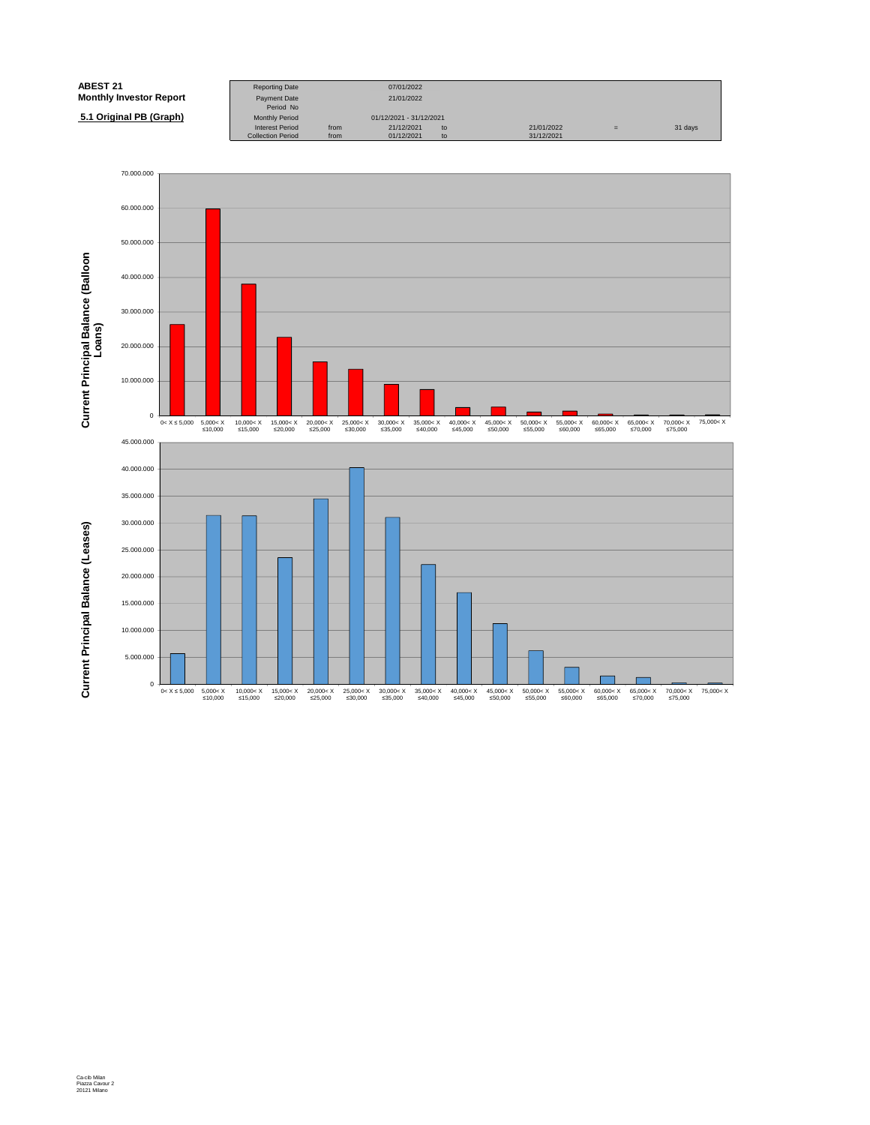| <b>ABEST 21</b>                | <b>Reporting Date</b>            |      | 07/01/2022              |    |            |     |         |
|--------------------------------|----------------------------------|------|-------------------------|----|------------|-----|---------|
| <b>Monthly Investor Report</b> | <b>Payment Date</b><br>Period No |      | 21/01/2022              |    |            |     |         |
| 5.1 Original PB (Graph)        | <b>Monthly Period</b>            |      | 01/12/2021 - 31/12/2021 |    |            |     |         |
|                                | <b>Interest Period</b>           | from | 21/12/2021              | to | 21/01/2022 | $=$ | 31 days |
|                                | <b>Collection Period</b>         | from | 01/12/2021              | to | 31/12/2021 |     |         |

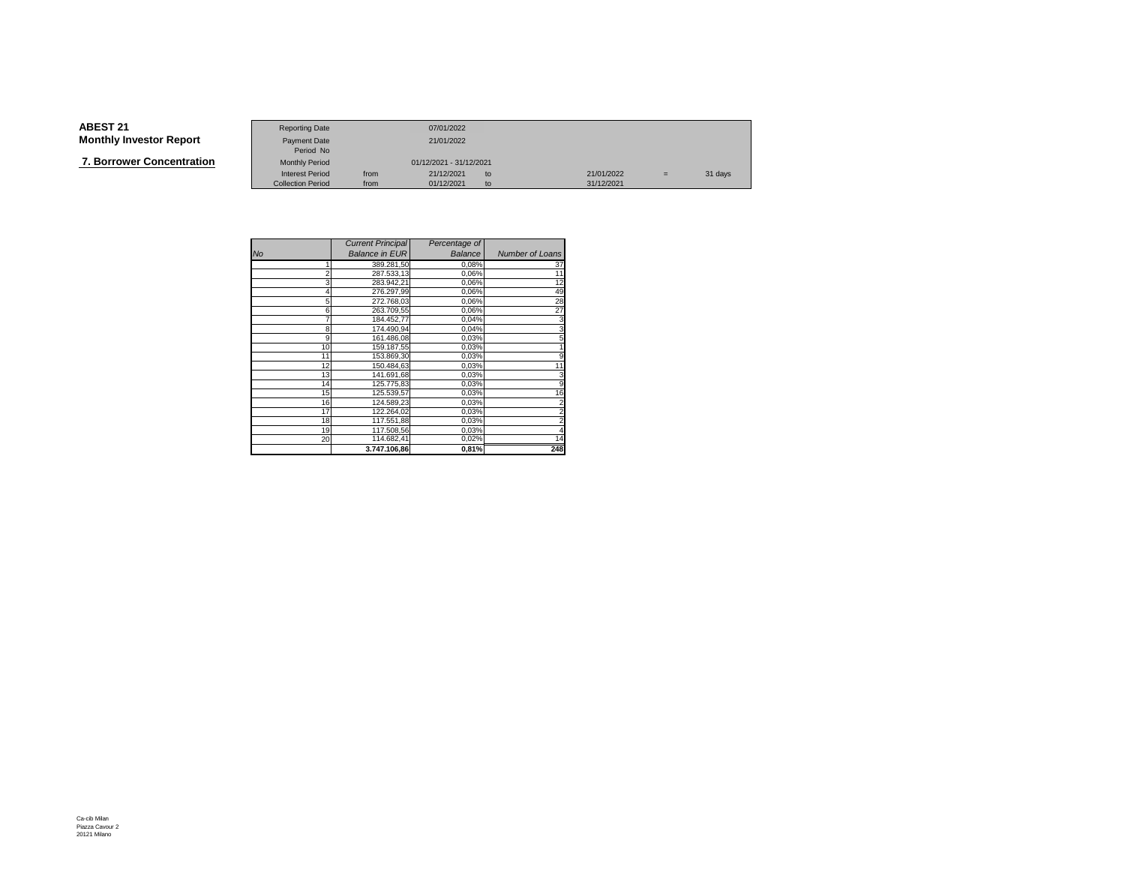**7. Borrower Concentration**

|                   | <b>Reporting Date</b>    |      | 07/01/2022              |    |            |     |         |
|-------------------|--------------------------|------|-------------------------|----|------------|-----|---------|
| Investor Report   | Payment Date             |      | 21/01/2022              |    |            |     |         |
|                   | Period No                |      |                         |    |            |     |         |
| wer Concentration | <b>Monthly Period</b>    |      | 01/12/2021 - 31/12/2021 |    |            |     |         |
|                   | <b>Interest Period</b>   | from | 21/12/2021              | to | 21/01/2022 | $=$ | 31 days |
|                   | <b>Collection Period</b> | from | 01/12/2021              | to | 31/12/2021 |     |         |

|                | <b>Current Principal</b> | Percentage of |                        |
|----------------|--------------------------|---------------|------------------------|
| <b>No</b>      | <b>Balance in EUR</b>    | Balance       | <b>Number of Loans</b> |
|                | 389.281,50               | 0,08%         | 37                     |
| $\overline{c}$ | 287.533,13               | 0,06%         | 11                     |
| 3              | 283.942.21               | 0,06%         | 12                     |
| 4              | 276.297,99               | 0,06%         | 49                     |
| 5              | 272.768,03               | 0,06%         | 28                     |
| 6              | 263.709,55               | 0,06%         | 27                     |
| 7              | 184.452.77               | 0,04%         | 3                      |
| 8              | 174.490,94               | 0,04%         | 3                      |
| 9              | 161.486,08               | 0,03%         |                        |
| 10             | 159.187,55               | 0,03%         |                        |
| 11             | 153.869,30               | 0,03%         | 9                      |
| 12             | 150.484.63               | 0,03%         | 11                     |
| 13             | 141.691,68               | 0,03%         | 3                      |
| 14             | 125.775,83               | 0,03%         | 9                      |
| 15             | 125.539,57               | 0,03%         | 16                     |
| 16             | 124.589,23               | 0,03%         |                        |
| 17             | 122.264,02               | 0,03%         | $\overline{2}$         |
| 18             | 117.551,88               | 0,03%         |                        |
| 19             | 117.508.56               | 0,03%         |                        |
| 20             | 114.682,41               | 0,02%         | 14                     |
|                | 3.747.106.86             | 0,81%         | 248                    |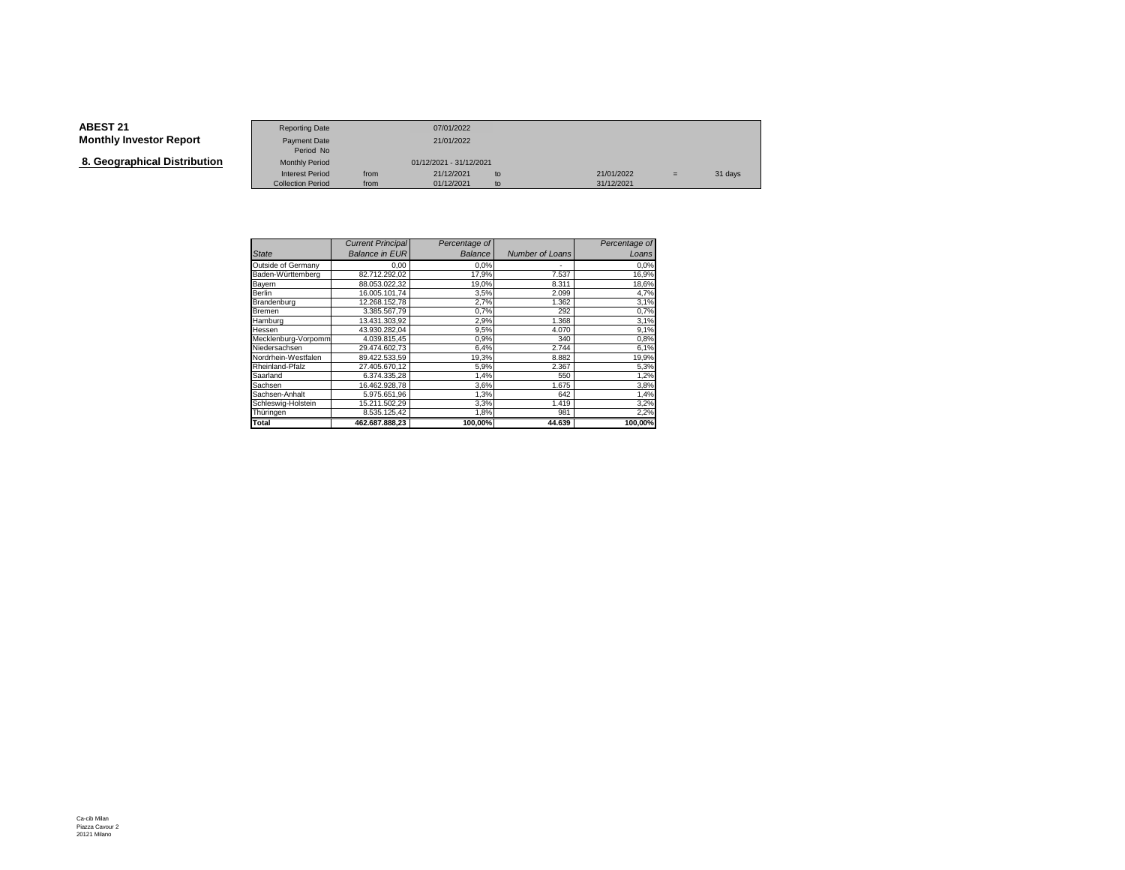**8. Geographical Distribution**

|                                   | <b>Reporting Date</b>     |      | 07/01/2022              |    |            |     |         |
|-----------------------------------|---------------------------|------|-------------------------|----|------------|-----|---------|
| Investor Report                   | Payment Date<br>Period No |      | 21/01/2022              |    |            |     |         |
| aphical Distribution <sup>.</sup> | <b>Monthly Period</b>     |      | 01/12/2021 - 31/12/2021 |    |            |     |         |
|                                   |                           |      |                         |    |            |     |         |
|                                   | <b>Interest Period</b>    | from | 21/12/2021              | to | 21/01/2022 | $=$ | 31 days |
|                                   | <b>Collection Period</b>  | from | 01/12/2021              | to | 31/12/2021 |     |         |

|                     | <b>Current Principal</b> | Percentage of |                 | Percentage of |
|---------------------|--------------------------|---------------|-----------------|---------------|
| <b>State</b>        | <b>Balance in EUR</b>    | Balance       | Number of Loans | Loans         |
| Outside of Germany  | 0,00                     | 0.0%          | ٠               | 0.0%          |
| Baden-Württemberg   | 82.712.292.02            | 17,9%         | 7.537           | 16,9%         |
| Bayern              | 88.053.022.32            | 19,0%         | 8.311           | 18,6%         |
| Berlin              | 16.005.101.74            | 3,5%          | 2.099           | 4,7%          |
| Brandenburg         | 12.268.152,78            | 2,7%          | 1.362           | 3,1%          |
| Bremen              | 3.385.567.79             | 0.7%          | 292             | 0,7%          |
| Hamburg             | 13.431.303.92            | 2,9%          | 1.368           | 3,1%          |
| Hessen              | 43.930.282.04            | 9,5%          | 4.070           | 9,1%          |
| Mecklenburg-Vorpomm | 4.039.815.45             | 0,9%          | 340             | 0,8%          |
| Niedersachsen       | 29.474.602.73            | 6,4%          | 2.744           | 6,1%          |
| Nordrhein-Westfalen | 89.422.533,59            | 19,3%         | 8.882           | 19,9%         |
| Rheinland-Pfalz     | 27.405.670,12            | 5,9%          | 2.367           | 5,3%          |
| Saarland            | 6.374.335.28             | 1,4%          | 550             | 1,2%          |
| Sachsen             | 16.462.928.78            | 3,6%          | 1.675           | 3,8%          |
| Sachsen-Anhalt      | 5.975.651.96             | 1,3%          | 642             | 1,4%          |
| Schleswig-Holstein  | 15.211.502.29            | 3,3%          | 1.419           | 3,2%          |
| Thüringen           | 8.535.125,42             | 1,8%          | 981             | 2,2%          |
| Total               | 462.687.888.23           | 100,00%       | 44.639          | 100,00%       |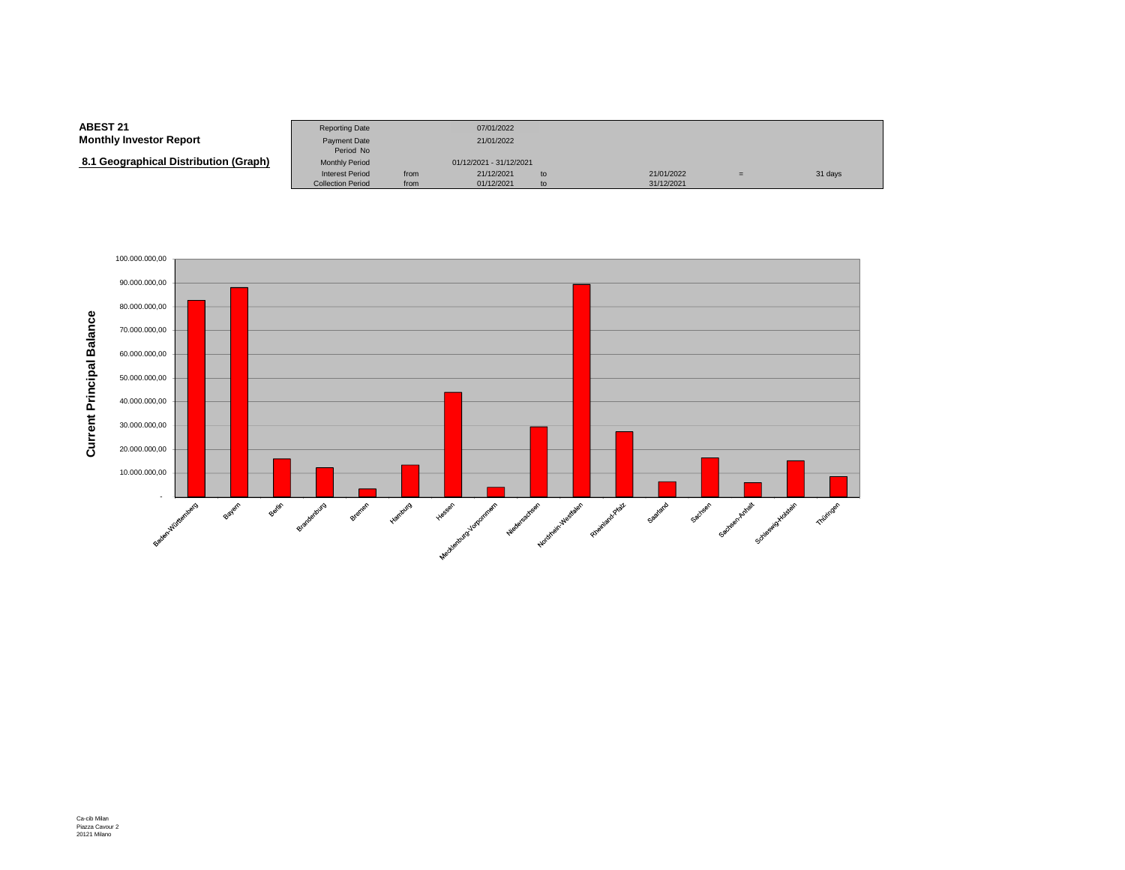#### **ABEST 21**Reporting Date 07/01/2022<br>Payment Date 21/01/2022 **Monthly Investor Report**Payment Date Period NoMonthly Period  **8.1 Geographical Distribution (Graph)**Monthly Period 01/12/2021 - 31/12/2021<br>Interest Period from 21/12/2021 Interest Period from 21/12/2021 to 21/01/2022 <sup>=</sup> 31 daysCollection Period from 01/12/2021 to 31/12/2021

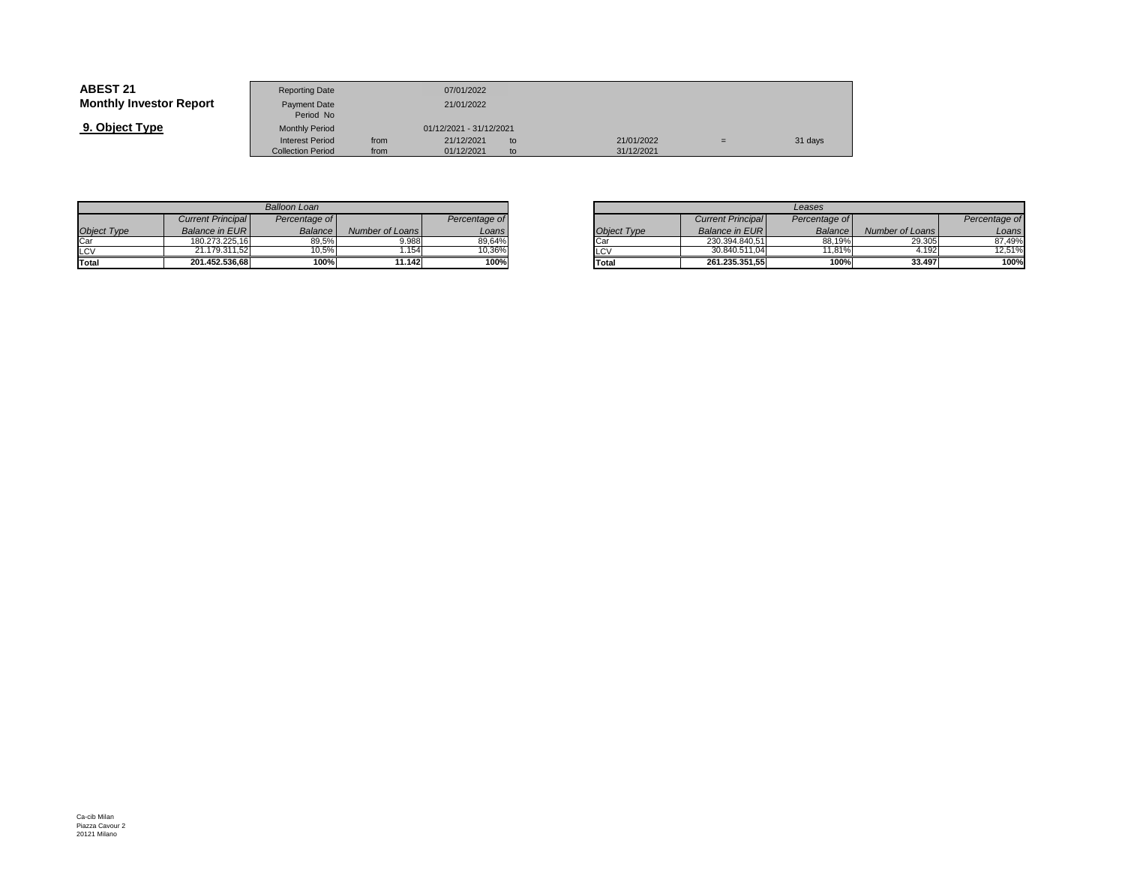| <b>ABEST 21</b>                | <b>Reporting Date</b>                              |              | 07/01/2022               |          |                          |    |         |
|--------------------------------|----------------------------------------------------|--------------|--------------------------|----------|--------------------------|----|---------|
| <b>Monthly Investor Report</b> | Payment Date<br>Period No                          |              | 21/01/2022               |          |                          |    |         |
| 9. Object Type                 | <b>Monthly Period</b>                              |              | 01/12/2021 - 31/12/2021  |          |                          |    |         |
|                                | <b>Interest Period</b><br><b>Collection Period</b> | from<br>from | 21/12/2021<br>01/12/2021 | to<br>to | 21/01/2022<br>31/12/2021 | Ξ. | 31 days |

| <b>Balloon Loan</b> |                          |               |                 |               |  |  |  |  |  |  |
|---------------------|--------------------------|---------------|-----------------|---------------|--|--|--|--|--|--|
|                     | <b>Current Principal</b> | Percentage of |                 | Percentage of |  |  |  |  |  |  |
| Object Type         | <b>Balance in EURI</b>   | Balance       | Number of Loans | Loans         |  |  |  |  |  |  |
| Car                 | 180.273.225.16           | 89,5%         | 9.988           | 89,64%        |  |  |  |  |  |  |
| LCV<br>Total        | 21.179.311,52            | 10.5%         | 1.154           | 10,36%        |  |  |  |  |  |  |
|                     | 201.452.536.68           | 100%          | 11.142          | 100%          |  |  |  |  |  |  |

|         |                 |                    |             |                          | Leases         |                 |  |
|---------|-----------------|--------------------|-------------|--------------------------|----------------|-----------------|--|
| ae of l |                 | Percentage of      |             | <b>Current Principal</b> | Percentage of  |                 |  |
| ance    | Number of Loans | Loans <sup>,</sup> | Object Type | <b>Balance in EURI</b>   | <b>Balance</b> | Number of Loans |  |
| 39,5%   | 9.988           | 89,64%             | Car         | 230.394.840.51           | 88.19%         | 29.305          |  |
| 0,5%    | .154            | 10,36%             | <b>LCV</b>  | 30.840.511.04            | 11.81%         | 4.192           |  |
| 100%    | 11.142          | 100%               | Total       | 261.235.351.55           | 100%           | 33.497          |  |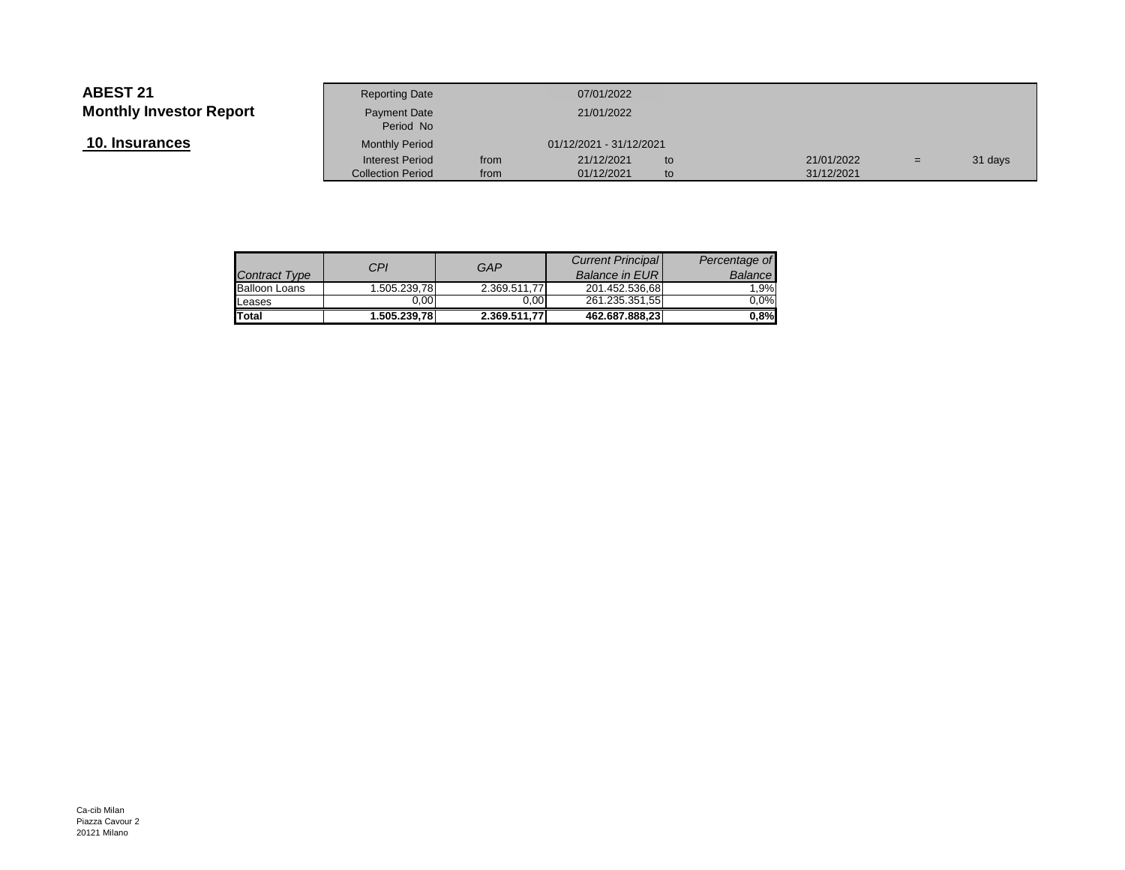**10. Insurances**

|                 | <b>Reporting Date</b>     |      | 07/01/2022              |     |            |     |         |
|-----------------|---------------------------|------|-------------------------|-----|------------|-----|---------|
| Investor Report | Payment Date<br>Period No |      | 21/01/2022              |     |            |     |         |
| <u>ances</u>    | <b>Monthly Period</b>     |      | 01/12/2021 - 31/12/2021 |     |            |     |         |
|                 | <b>Interest Period</b>    | from | 21/12/2021              | to  | 21/01/2022 | $=$ | 31 days |
|                 | <b>Collection Period</b>  | from | 01/12/2021              | to. | 31/12/2021 |     |         |
|                 |                           |      |                         |     |            |     |         |

| <b>Contract Type</b> | CPI          | GAP          | <b>Current Principal</b><br><b>Balance in EURI</b> | Percentage of<br>Balance |
|----------------------|--------------|--------------|----------------------------------------------------|--------------------------|
| <b>Balloon Loans</b> | 1.505.239.78 | 2.369.511.77 | 201.452.536.68                                     | 1.9%                     |
| Leases               | 0.00         | 0.00         | 261.235.351,55                                     | 0.0%                     |
| <b>Total</b>         | 1.505.239.78 | 2.369.511,77 | 462.687.888,23                                     | 0.8%                     |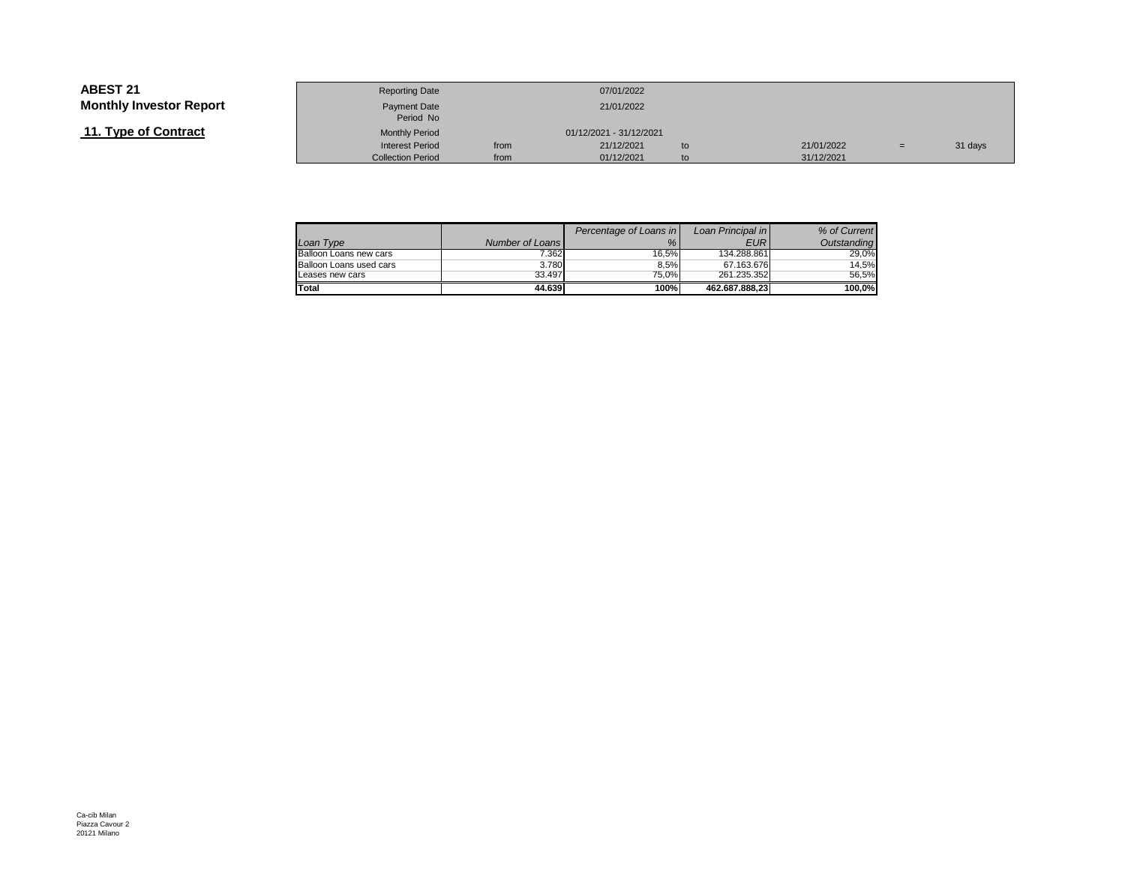## **11. Type of Contract**

|                 | <b>Reporting Date</b>     |      | 07/01/2022              |    |            |     |         |
|-----------------|---------------------------|------|-------------------------|----|------------|-----|---------|
| Investor Report | Payment Date<br>Period No |      | 21/01/2022              |    |            |     |         |
| of Contract     | <b>Monthly Period</b>     |      | 01/12/2021 - 31/12/2021 |    |            |     |         |
|                 | <b>Interest Period</b>    | from | 21/12/2021              | to | 21/01/2022 | $=$ | 31 days |
|                 | <b>Collection Period</b>  | from | 01/12/2021              | to | 31/12/2021 |     |         |

|                         |                 | Percentage of Loans in | Loan Principal in | % of Current |
|-------------------------|-----------------|------------------------|-------------------|--------------|
| Loan Type               | Number of Loans | %                      | <b>EUR</b>        | Outstanding  |
| Balloon Loans new cars  | 7.362           | 16.5%                  | 134.288.861       | 29.0%        |
| Balloon Loans used cars | 3.780           | 8.5%                   | 67.163.676        | 14.5%        |
| Leases new cars         | 33.497          | 75.0%                  | 261.235.3521      | 56.5%        |
| Total                   | 44.639          | 100%                   | 462.687.888.23    | 100.0%       |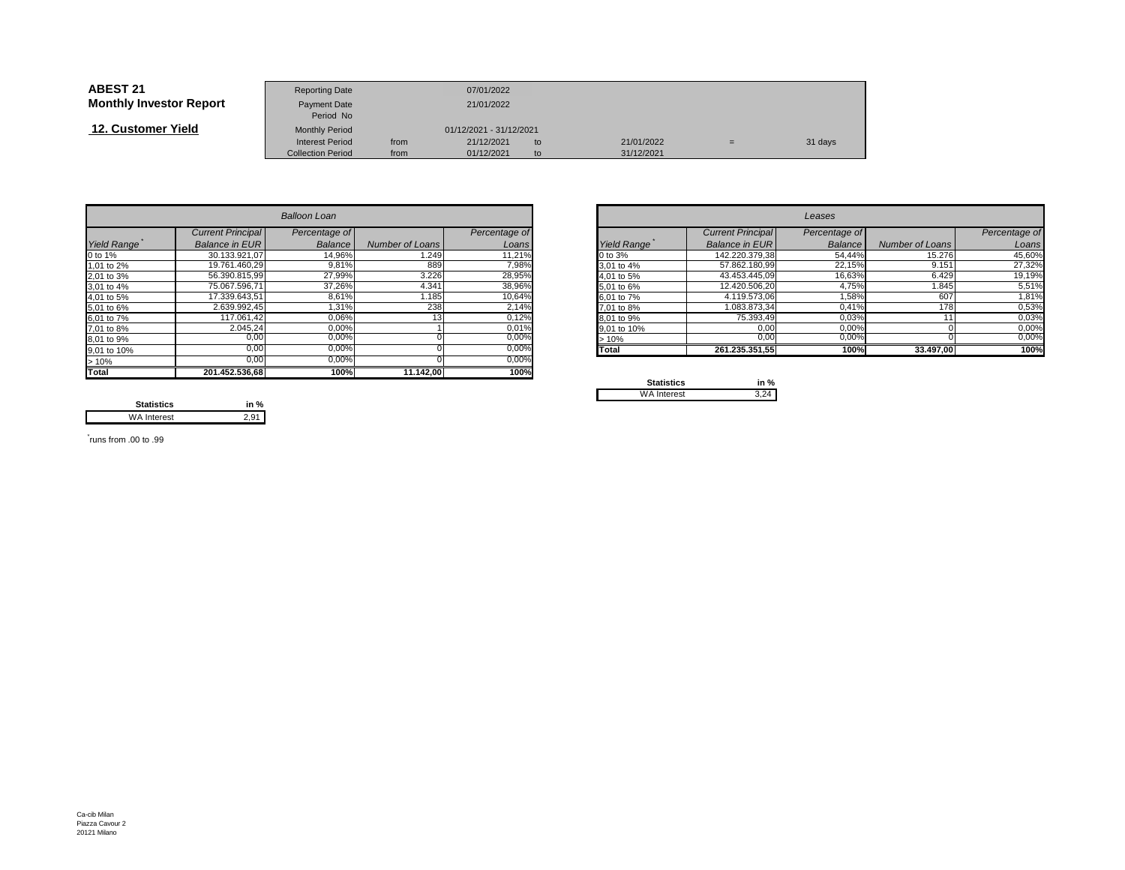| <b>ABEST 21</b>                | <b>Reporting Date</b>     |      | 07/01/2022              |    |            |     |         |
|--------------------------------|---------------------------|------|-------------------------|----|------------|-----|---------|
| <b>Monthly Investor Report</b> | Payment Date<br>Period No |      | 21/01/2022              |    |            |     |         |
| 12. Customer Yield             | <b>Monthly Period</b>     |      | 01/12/2021 - 31/12/2021 |    |            |     |         |
|                                | <b>Interest Period</b>    | from | 21/12/2021              | to | 21/01/2022 | $=$ | 31 days |
|                                | <b>Collection Period</b>  | from | 01/12/2021              | to | 31/12/2021 |     |         |

|                    |                          | <b>Balloon Loan</b> |                 |               |             |                          | Leases        |                 |               |
|--------------------|--------------------------|---------------------|-----------------|---------------|-------------|--------------------------|---------------|-----------------|---------------|
|                    | <b>Current Principal</b> | Percentage of       |                 | Percentage of |             | <b>Current Principal</b> | Percentage of |                 | Percentage of |
| <b>Yield Range</b> | <b>Balance in EURI</b>   | Balance             | Number of Loans | Loans         | Yield Range | <b>Balance in EURI</b>   | Balance       | Number of Loans | Loans         |
| 0 to 1%            | 30.133.921,07            | 14,96%              | 1.249           | 11,21%        | 0 to 3%     | 142.220.379,38           | 54,44%        | 15.276          | 45,60%        |
| 1,01 to 2%         | 19.761.460.29            | 9,81%               | 889             | 7,98%         | 3,01 to 4%  | 57.862.180,99            | 22,15%        | 9.151           | 27,32%        |
| 2,01 to 3%         | 56.390.815.99            | 27,99%              | 3.226           | 28,95%        | 4.01 to 5%  | 43.453.445.09            | 16,63%        | 6.429           | 19,19%        |
| 3,01 to 4%         | 75.067.596,71            | 37,26%              | 4.341           | 38,96%        | 5,01 to 6%  | 12.420.506,20            | 4,75%         | 1.845           | 5,51%         |
| 4,01 to 5%         | 17.339.643,51            | 8,61%               | 1.185           | 10,64%        | 6,01 to 7%  | 4.119.573,06             | 1,58%         | 607             | 1,81%         |
| 5,01 to 6%         | 2.639.992,45             | 1,31%               | 238             | 2,14%         | 7,01 to 8%  | 1.083.873.34             | 0,41%         | 178             | 0,53%         |
| 6,01 to 7%         | 117.061.42               | 0,06%               |                 | 0,12%         | 8,01 to 9%  | 75.393,49                | 0,03%         |                 | 0,03%         |
| 7,01 to 8%         | 2.045,24                 | 0,00%               |                 | 0,01%         | 9,01 to 10% | 0,00                     | 0,00%         |                 | 0,00%         |
| 8,01 to 9%         | 0,00                     | 0,00%               |                 | $0,00\%$      | >10%        | 0,00                     | 0,00%         |                 | 0,00%         |
| 9,01 to 10%        | 0.00                     | 0.00%               |                 | 0,00%         | Total       | 261.235.351,55           | 100%          | 33.497,00       | 100%          |
| >10%               | 0,00                     | 0,00%               |                 | 0,00%         |             |                          |               |                 |               |
| <b>Total</b>       | 201.452.536,68           | 100%                | 11.142,00       | 100%          | Capalonico  | $1 - 0$                  |               |                 |               |

|       |                       | <b>Balloon Loan</b> |                 |               |             |                          | Leases         |                 |               |
|-------|-----------------------|---------------------|-----------------|---------------|-------------|--------------------------|----------------|-----------------|---------------|
|       | Current Principal     | Percentage of       |                 | Percentage of |             | <b>Current Principal</b> | Percentage of  |                 | Percentage of |
| Range | <b>Balance in EUR</b> | Balance             | Number of Loans | Loans         | Yield Range | Balance in EUR           | <b>Balance</b> | Number of Loans | Loans         |
|       | 30.133.921,07         | 14,96%              | 1.249           | 11,21%        | 0 to 3%     | 142.220.379,38           | 54,44%         | 15.276          | 45,60%        |
| o 2%  | 19.761.460,29         | 9,81%               | 889             | 7,98%         | 3,01 to 4%  | 57.862.180,99            | 22,15%         | 9.151           | 27,32%        |
| o 3%  | 56.390.815,99         | 27,99%              | 3.226           | 28,95%        | 4,01 to 5%  | 43.453.445,09            | 16,63%         | 6.429           | 19,19%        |
| o 4%  | 75.067.596,71         | 37,26%              | 4.341           | 38,96%        | 5,01 to 6%  | 12.420.506,20            | 4,75%          | 1.845           | 5,51%         |
| o 5%  | 17.339.643,51         | 8,61%               | 1.185           | 10,64%        | 6,01 to 7%  | 4.119.573,06             | 1,58%          | 607             | 1,81%         |
| о 6%  | 2.639.992,45          | 1,31%               | 238             | 2,14%         | 7.01 to 8%  | 1.083.873,34             | 0,41%          | 175             | 0,53%         |
| o 7%  | 117.061,42            | 0,06%               |                 | 0,12%         | 8.01 to 9%  | 75.393,49                | 0,03%          |                 | 0,03%         |
| o 8%  | 2.045,24              | 0,00%               |                 | 0,01%         | 9,01 to 10% | 0,00                     | 0,00%          |                 | 0,00%         |
| о 9%  | 0,00                  | $0,00\%$            |                 | 0,00%         | >10%        | 0,00                     | 0,00%          |                 | $0,00\%$      |
| o 10% | 0,00                  | 0,00%               |                 | $0,00\%$      | Total       | 261.235.351,55           | 100%           | 33.497,00       | 100%          |
|       |                       |                     |                 |               |             |                          |                |                 |               |

| <b>Statistics</b>  | in % |
|--------------------|------|
| <b>WA Interest</b> |      |

**Statistics in %** $2,91$ WA Interest

\* runs from .00 to .99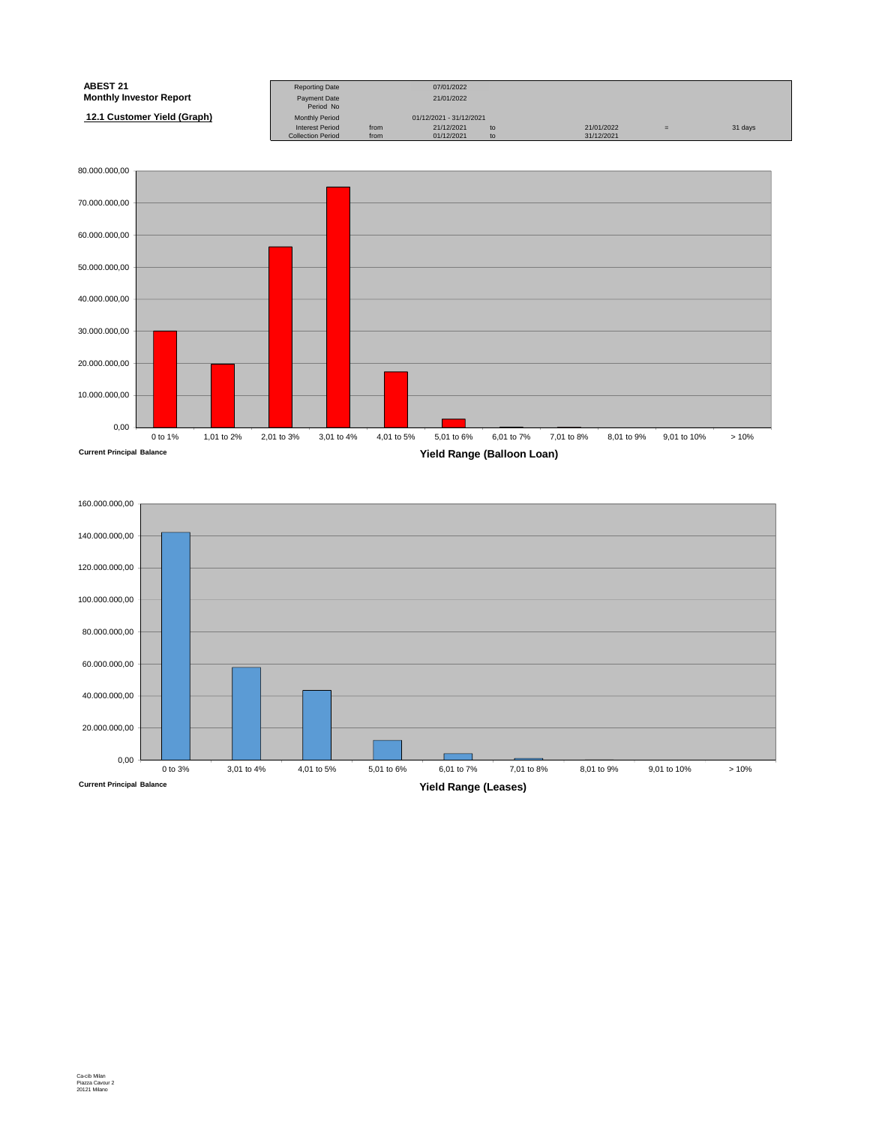| <b>ABEST 21</b>                | <b>Reporting Date</b>     |      | 07/01/2022              |    |            |     |         |
|--------------------------------|---------------------------|------|-------------------------|----|------------|-----|---------|
| <b>Monthly Investor Report</b> | Payment Date<br>Period No |      | 21/01/2022              |    |            |     |         |
| 12.1 Customer Yield (Graph)    | <b>Monthly Period</b>     |      | 01/12/2021 - 31/12/2021 |    |            |     |         |
|                                | <b>Interest Period</b>    | from | 21/12/2021              | to | 21/01/2022 | $=$ | 31 days |
|                                | <b>Collection Period</b>  | from | 01/12/2021              | to | 31/12/2021 |     |         |



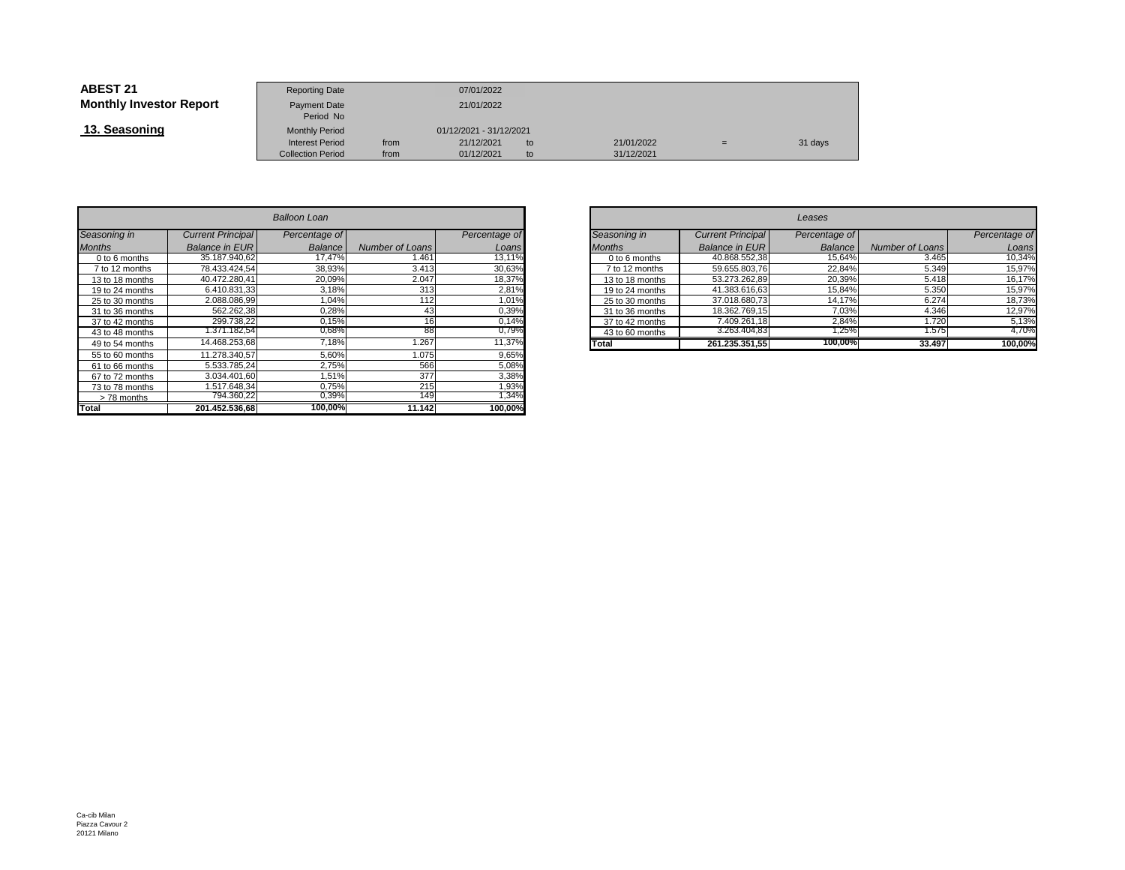| <b>ABEST 21</b>                | <b>Reporting Date</b>            |                         | 07/01/2022 |    |            |     |         |
|--------------------------------|----------------------------------|-------------------------|------------|----|------------|-----|---------|
| <b>Monthly Investor Report</b> | <b>Payment Date</b><br>Period No |                         | 21/01/2022 |    |            |     |         |
| 13. Seasoning                  | <b>Monthly Period</b>            | 01/12/2021 - 31/12/2021 |            |    |            |     |         |
|                                | <b>Interest Period</b>           | from                    | 21/12/2021 | to | 21/01/2022 | $=$ | 31 days |
|                                | <b>Collection Period</b>         | from                    | 01/12/2021 | to | 31/12/2021 |     |         |

|                 | Balloon Loan             |               |                        |               |  |  |  |  |  |  |  |  |
|-----------------|--------------------------|---------------|------------------------|---------------|--|--|--|--|--|--|--|--|
| Seasoning in    | <b>Current Principal</b> | Percentage of |                        | Percentage of |  |  |  |  |  |  |  |  |
| <b>Months</b>   | <b>Balance in EUR</b>    | Balance       | <b>Number of Loans</b> | Loans         |  |  |  |  |  |  |  |  |
| 0 to 6 months   | 35.187.940.62            | 17,47%        | 1.461                  | 13,11%        |  |  |  |  |  |  |  |  |
| 7 to 12 months  | 78.433.424.54            | 38,93%        | 3.413                  | 30,63%        |  |  |  |  |  |  |  |  |
| 13 to 18 months | 40.472.280.41            | 20.09%        | 2.047                  | 18,37%        |  |  |  |  |  |  |  |  |
| 19 to 24 months | 6.410.831.33             | 3,18%         | 313                    | 2,81%         |  |  |  |  |  |  |  |  |
| 25 to 30 months | 2.088.086.99             | 1,04%         | 112                    | 1,01%         |  |  |  |  |  |  |  |  |
| 31 to 36 months | 562.262.38               | 0,28%         | 43                     | 0,39%         |  |  |  |  |  |  |  |  |
| 37 to 42 months | 299.738.22               | 0,15%         | 16                     | 0,14%         |  |  |  |  |  |  |  |  |
| 43 to 48 months | 1.371.182,54             | 0,68%         | 88                     | 0,79%         |  |  |  |  |  |  |  |  |
| 49 to 54 months | 14.468.253,68            | 7,18%         | 1.267                  | 11,37%        |  |  |  |  |  |  |  |  |
| 55 to 60 months | 11.278.340.57            | 5.60%         | 1.075                  | 9,65%         |  |  |  |  |  |  |  |  |
| 61 to 66 months | 5.533.785,24             | 2,75%         | 566                    | 5,08%         |  |  |  |  |  |  |  |  |
| 67 to 72 months | 3.034.401.60             | 1.51%         | 377                    | 3,38%         |  |  |  |  |  |  |  |  |
| 73 to 78 months | 1.517.648.34             | 0.75%         | 215                    | 1,93%         |  |  |  |  |  |  |  |  |
| >78 months      | 794.360,22               | 0,39%         | 1491                   | 1,34%         |  |  |  |  |  |  |  |  |
| Total           | 201.452.536.68           | 100,00%       | 11.142                 | 100,00%       |  |  |  |  |  |  |  |  |

| n        |                          |               |                 |                          | Leases        |                 |               |
|----------|--------------------------|---------------|-----------------|--------------------------|---------------|-----------------|---------------|
| ge of    |                          | Percentage of | Seasoning in    | <b>Current Principal</b> | Percentage of |                 | Percentage of |
| ance     | Number of Loans          | Loans         | <b>Months</b>   | <b>Balance in EURI</b>   | Balance       | Number of Loans | Loans         |
| ,47%     | .461                     | 13,11%        | 0 to 6 months   | 40.868.552,38            | 15.64%        | 3.465           | 10,34%        |
| 3,93%    | 3.413                    | 30,63%        | 7 to 12 months  | 59.655.803,76            | 22,84%        | 5.349           | 15,97%        |
| 0,09%    | 2.047                    | 18,37%        | 13 to 18 months | 53.273.262,89            | 20,39%        | 5.418           | 16,17%        |
| 3,18%    | 313                      | 2,81%         | 19 to 24 months | 41.383.616,63            | 15.84%        | 5.350           | 15,97%        |
| ,04%     | 112                      | ,01%          | 25 to 30 months | 37.018.680,73            | 14.17%        | 6.274           | 18,73%        |
| ),28%    | 43                       | 0,39%         | 31 to 36 months | 18.362.769,15            | 7.03%         | 4.346           | 12,97%        |
| ,15%     | 16                       | 0.14%         | 37 to 42 months | 7.409.261,18             | 2.84%         | 1.720           | 5,13%         |
| 0,68%    | 88                       | 0,79%         | 43 to 60 months | 3.263.404,83             | .25%          | .575            | 4,70%         |
| .18%     | .267                     | 11,37%        | Total           | 261.235.351.55           | 100,00%       | 33.497          | 100,00%       |
| $-0.001$ | $\overline{\phantom{a}}$ | $- - - - -$   |                 |                          |               |                 |               |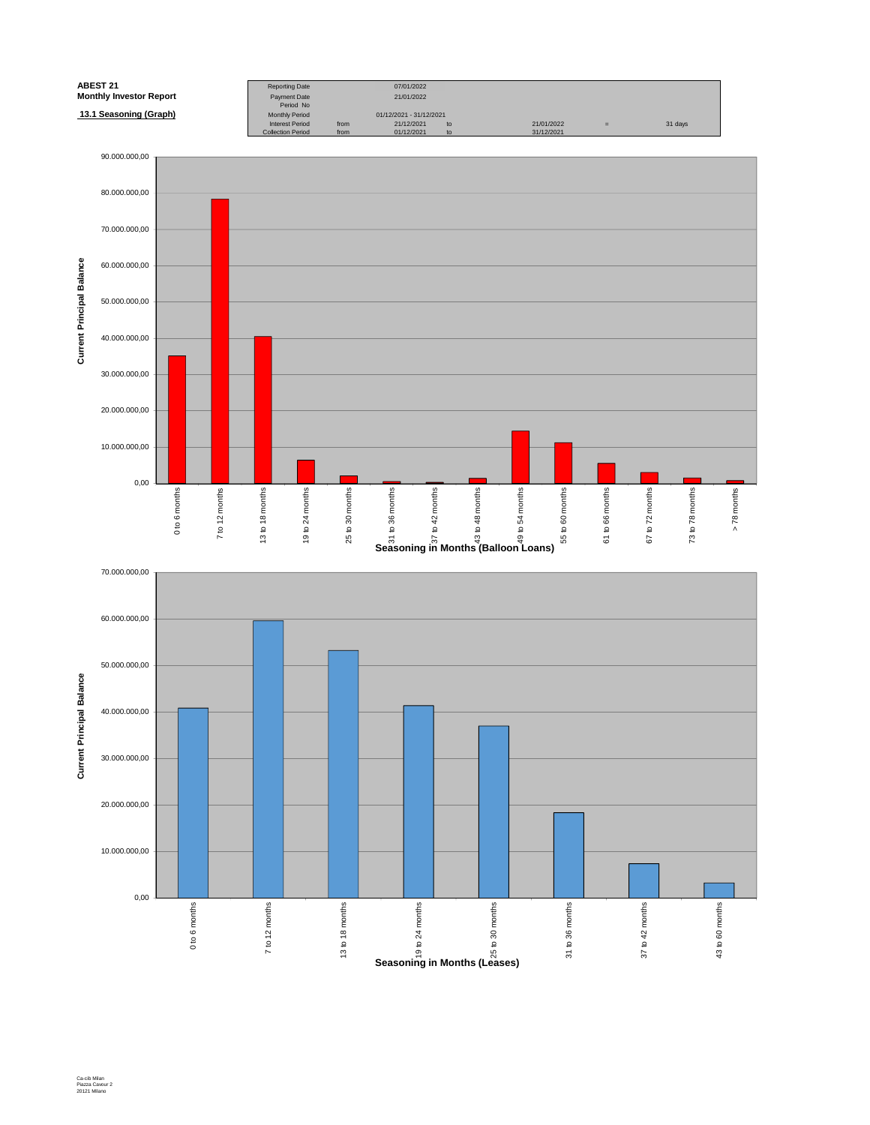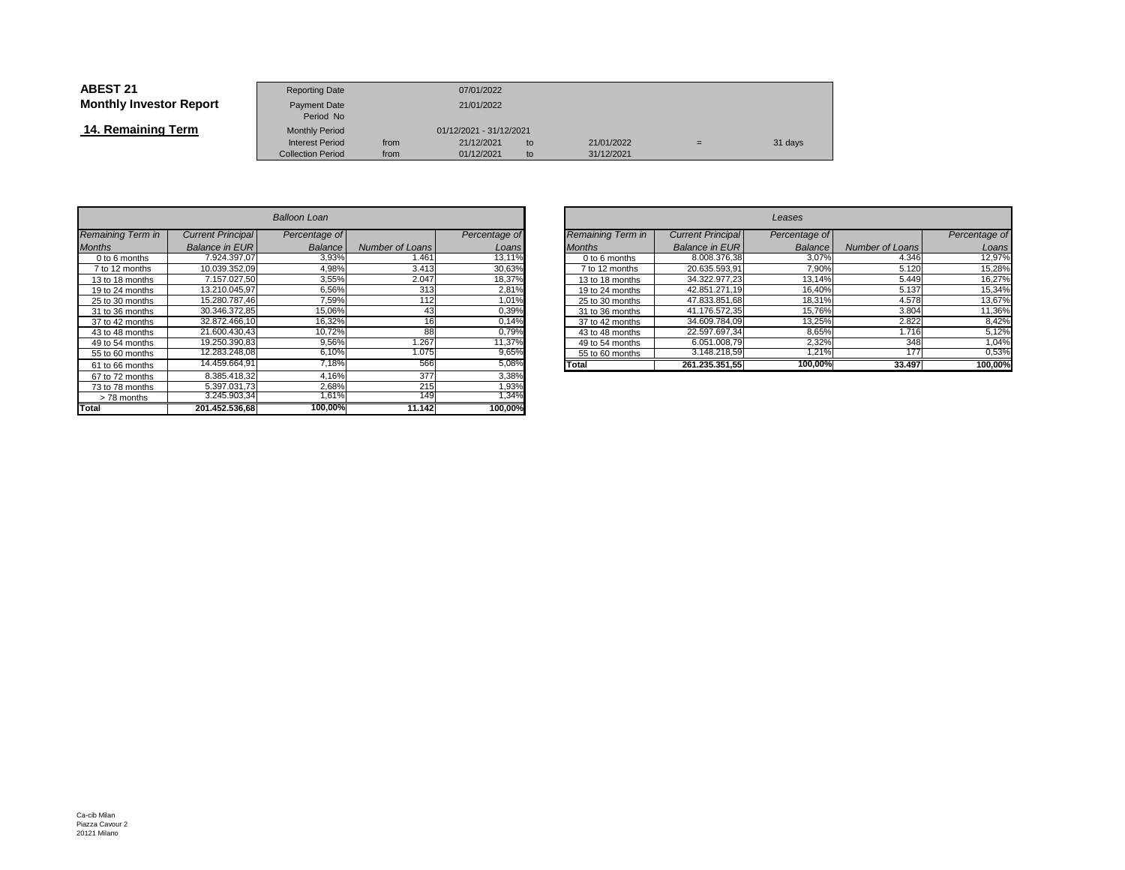| <b>ABEST 21</b>                | <b>Reporting Date</b>            |      | 07/01/2022              |    |            |     |         |
|--------------------------------|----------------------------------|------|-------------------------|----|------------|-----|---------|
| <b>Monthly Investor Report</b> | <b>Payment Date</b><br>Period No |      | 21/01/2022              |    |            |     |         |
| 14. Remaining Term             | <b>Monthly Period</b>            |      | 01/12/2021 - 31/12/2021 |    |            |     |         |
|                                | <b>Interest Period</b>           | from | 21/12/2021              | to | 21/01/2022 | $=$ | 31 days |
|                                | <b>Collection Period</b>         | from | 01/12/2021              | to | 31/12/2021 |     |         |

| Balloon Loan      |                          |                |                        |               |  |  |  |  |  |
|-------------------|--------------------------|----------------|------------------------|---------------|--|--|--|--|--|
| Remaining Term in | <b>Current Principal</b> | Percentage of  |                        | Percentage of |  |  |  |  |  |
| <b>Months</b>     | <b>Balance in EUR</b>    | <b>Balance</b> | <b>Number of Loans</b> | Loans         |  |  |  |  |  |
| 0 to 6 months     | 7.924.397.07             | 3,93%          | 1.461                  | 13,11%        |  |  |  |  |  |
| 7 to 12 months    | 10.039.352.09            | 4.98%          | 3.413                  | 30,63%        |  |  |  |  |  |
| 13 to 18 months   | 7.157.027,50             | 3,55%          | 2.047                  | 18,37%        |  |  |  |  |  |
| 19 to 24 months   | 13.210.045.97            | 6,56%          | 313                    | 2,81%         |  |  |  |  |  |
| 25 to 30 months   | 15.280.787.46            | 7,59%          | 112                    | 1,01%         |  |  |  |  |  |
| 31 to 36 months   | 30.346.372.85            | 15.06%         | 43                     | 0,39%         |  |  |  |  |  |
| 37 to 42 months   | 32.872.466.10            | 16.32%         | 16                     | 0,14%         |  |  |  |  |  |
| 43 to 48 months   | 21.600.430.43            | 10,72%         | 88                     | 0,79%         |  |  |  |  |  |
| 49 to 54 months   | 19.250.390.83            | 9,56%          | 1.267                  | 11,37%        |  |  |  |  |  |
| 55 to 60 months   | 12.283.248.08            | 6.10%          | 1.075                  | 9,65%         |  |  |  |  |  |
| 61 to 66 months   | 14.459.664.91            | 7.18%          | 566                    | 5,08%         |  |  |  |  |  |
| 67 to 72 months   | 8.385.418.32             | 4.16%          | 377                    | 3,38%         |  |  |  |  |  |
| 73 to 78 months   | 5.397.031.73             | 2,68%          | 215                    | 1,93%         |  |  |  |  |  |
| > 78 months       | 3.245.903.34             | 1,61%          | 149                    | 1,34%         |  |  |  |  |  |
| Total             | 201.452.536.68           | 100.00%        | 11.142                 | 100,00%       |  |  |  |  |  |

| $\overline{n}$           |                 |               |                          |                          | Leases        |                 |               |
|--------------------------|-----------------|---------------|--------------------------|--------------------------|---------------|-----------------|---------------|
| ge of                    |                 | Percentage of | <b>Remaining Term in</b> | <b>Current Principal</b> | Percentage of |                 | Percentage of |
| ance                     | Number of Loans | Loans         | <b>Months</b>            | <b>Balance in EUR</b>    | Balance       | Number of Loans | Loans         |
| 3,93%                    | 1.461           | 13,11%        | 0 to 6 months            | 8.008.376,38             | 3,07%         | 4.346           | 12,97%        |
| 1,98%                    | 3.413           | 30,63%        | 7 to 12 months           | 20.635.593,91            | 7,90%         | 5.120           | 15,28%        |
| 3,55%                    | 2.047           | 18,37%        | 13 to 18 months          | 34.322.977.23            | 13.14%        | 5.449           | 16,27%        |
| 5,56%                    | 313             | 2,81%         | 19 to 24 months          | 42.851.271.19            | 16,40%        | 5.137           | 15,34%        |
| .59%                     | 112             | 1,01%         | 25 to 30 months          | 47.833.851.68            | 18,31%        | 4.578           | 13,67%        |
| 5,06%                    | 43              | 0,39%         | 31 to 36 months          | 41.176.572,35            | 15.76%        | 3.804           | 11,36%        |
| 3,32%                    | 16              | 0,14%         | 37 to 42 months          | 34.609.784.09            | 13,25%        | 2.822           | 8,42%         |
| 0,72%                    | 88              | 0,79%         | 43 to 48 months          | 22.597.697.34            | 8,65%         | 1.716           | 5,12%         |
| ,56%                     | 1.267           | 11,37%        | 49 to 54 months          | 6.051.008.79             | 2,32%         | 348             | 1,04%         |
| 5.10%                    | 1.075           | 9,65%         | 55 to 60 months          | 3.148.218,59             | 1,21%         | 177             | 0,53%         |
| 7,18%                    | 566             | 5,08%         | Total                    | 261.235.351.55           | 100,00%       | 33.497          | 100.00%       |
| $\overline{\phantom{a}}$ | $\overline{ }$  | 0.001         |                          |                          |               |                 |               |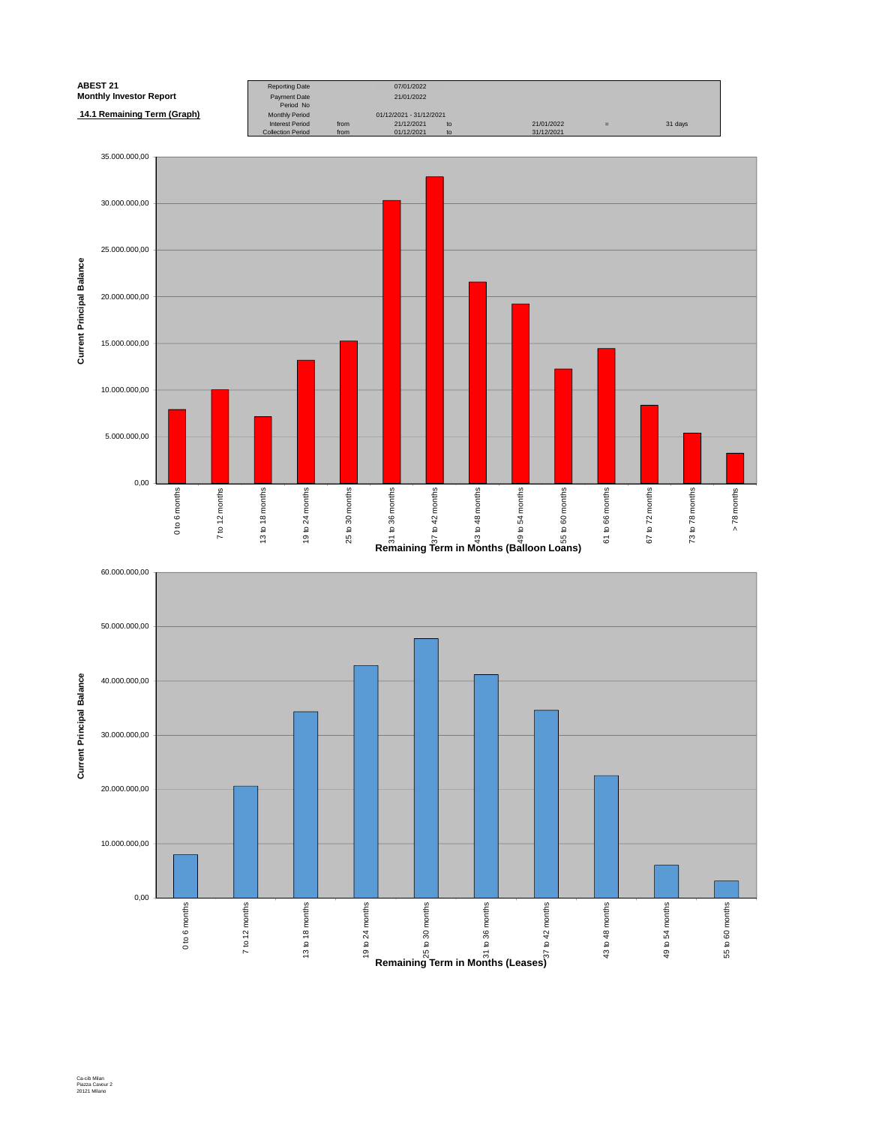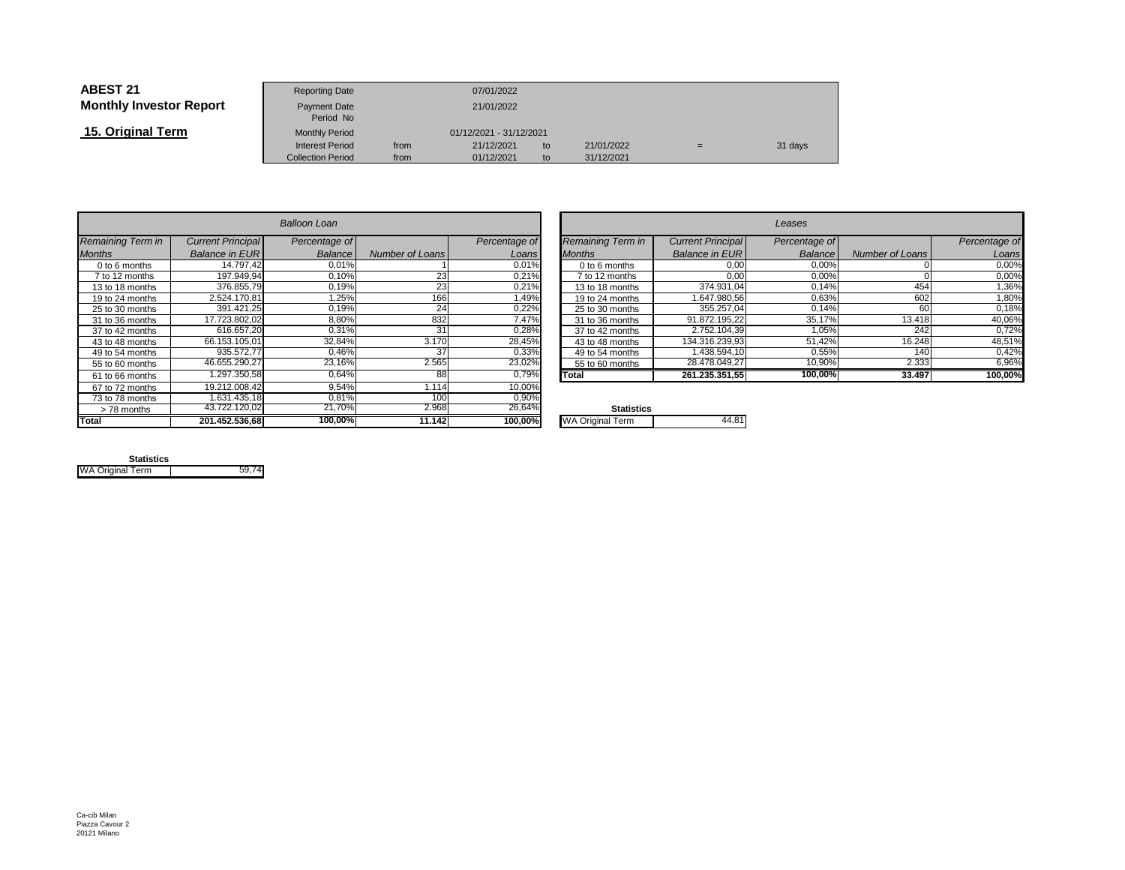| <b>ABEST 21</b>                | <b>Reporting Date</b>     |            | 07/01/2022              |    |            |   |         |
|--------------------------------|---------------------------|------------|-------------------------|----|------------|---|---------|
| <b>Monthly Investor Report</b> | Payment Date<br>Period No | 21/01/2022 |                         |    |            |   |         |
| 15. Original Term              | <b>Monthly Period</b>     |            | 01/12/2021 - 31/12/2021 |    |            |   |         |
|                                | <b>Interest Period</b>    | from       | 21/12/2021              | to | 21/01/2022 | = | 31 days |
|                                | <b>Collection Period</b>  | from       | 01/12/2021              | to | 31/12/2021 |   |         |

|                   |                          | Balloon Loan  |                 |               |                         |
|-------------------|--------------------------|---------------|-----------------|---------------|-------------------------|
| Remaining Term in | <b>Current Principal</b> | Percentage of |                 | Percentage of | Remaining Term in       |
| <b>Months</b>     | <b>Balance in EUR</b>    | Balance       | Number of Loans | Loans         | <b>Months</b>           |
| 0 to 6 months     | 14.797,42                | 0.01%         |                 | 0.01%         | 0 to 6 months           |
| 7 to 12 months    | 197.949.94               | 0.10%         | 23              | 0,21%         | 7 to 12 months          |
| 13 to 18 months   | 376.855,79               | 0,19%         | 23              | 0,21%         | 13 to 18 months         |
| 19 to 24 months   | 2.524.170.81             | 1.25%         | 166             | 1,49%         | 19 to 24 months         |
| 25 to 30 months   | 391.421.25               | 0,19%         | 24              | 0,22%         | 25 to 30 months         |
| 31 to 36 months   | 17.723.802.02            | 8,80%         | 832             | 7,47%         | 31 to 36 months         |
| 37 to 42 months   | 616.657.20               | 0.31%         | 31              | 0,28%         | 37 to 42 months         |
| 43 to 48 months   | 66.153.105.01            | 32,84%        | 3.170           | 28,45%        | 43 to 48 months         |
| 49 to 54 months   | 935.572.77               | 0.46%         | 37              | 0,33%         | 49 to 54 months         |
| 55 to 60 months   | 46.655.290.27            | 23.16%        | 2.565           | 23,02%        | 55 to 60 months         |
| 61 to 66 months   | 1.297.350.58             | 0.64%         | 88              | 0.79%         | Total                   |
| 67 to 72 months   | 19.212.008.42            | 9,54%         | 1.114           | 10,00%        |                         |
| 73 to 78 months   | 1.631.435.18             | 0.81%         | 100             | 0,90%         |                         |
| >78 months        | 43.722.120,02            | 21,70%        | 2.968           | 26,64%        | <b>Statistics</b>       |
| <b>Total</b>      | 201.452.536,68           | 100.00%       | 11.142          | 100,00%       | <b>WA Original Term</b> |

| $\overline{r}$ |                 |               |                   |                          | Leases        |                 |               |
|----------------|-----------------|---------------|-------------------|--------------------------|---------------|-----------------|---------------|
| ge of          |                 | Percentage of | Remaining Term in | <b>Current Principal</b> | Percentage of |                 | Percentage of |
| ance           | Number of Loans | Loans         | <b>Months</b>     | <b>Balance in EUR</b>    | Balance       | Number of Loans | Loans         |
| $0,01\%$       |                 | 0,01%         | 0 to 6 months     | 0,00                     | 0,00%         |                 | 0,00%         |
| 0,10%          | 23              | 0,21%         | 7 to 12 months    | 0,00                     | 0,00%         |                 | 0,00%         |
| ),19%          | 23              | 0,21%         | 13 to 18 months   | 374.931,04               | 0.14%         | 454             | 1,36%         |
| ,25%           | 166             | 1,49%         | 19 to 24 months   | 1.647.980.56             | 0,63%         | 602             | 1,80%         |
| ,19%           | 24              | 0,22%         | 25 to 30 months   | 355.257.04               | 0.14%         | 60              | 0,18%         |
| $8,80\%$       | 832             | 7.47%         | 31 to 36 months   | 91.872.195,22            | 35,17%        | 13.418          | 40,06%        |
| ,31%           | 31              | 0,28%         | 37 to 42 months   | 2.752.104.39             | 1.05%         | 242             | 0,72%         |
| 2,84%          | 3.170           | 28,45%        | 43 to 48 months   | 134.316.239.93           | 51.42%        | 16.248          | 48,51%        |
| ,46%           | 37              | 0,33%         | 49 to 54 months   | 1.438.594,10             | 0,55%         | 140             | 0,42%         |
| 3,16%          | 2.565           | 23,02%        | 55 to 60 months   | 28.478.049.27            | 10,90%        | 2.333           | 6,96%         |
| 0.64%          | 88              | 0,79%         | Total             | 261.235.351.55           | 100,00%       | 33.497          | 100,00%       |
| F401           | .               | 10.001        |                   |                          |               |                 |               |

| % | <b>Statistics</b>       |  |
|---|-------------------------|--|
| % | <b>WA Original Term</b> |  |
|   |                         |  |

| <b>Statistics</b>       |       |
|-------------------------|-------|
| <b>WA Original Term</b> | 59.74 |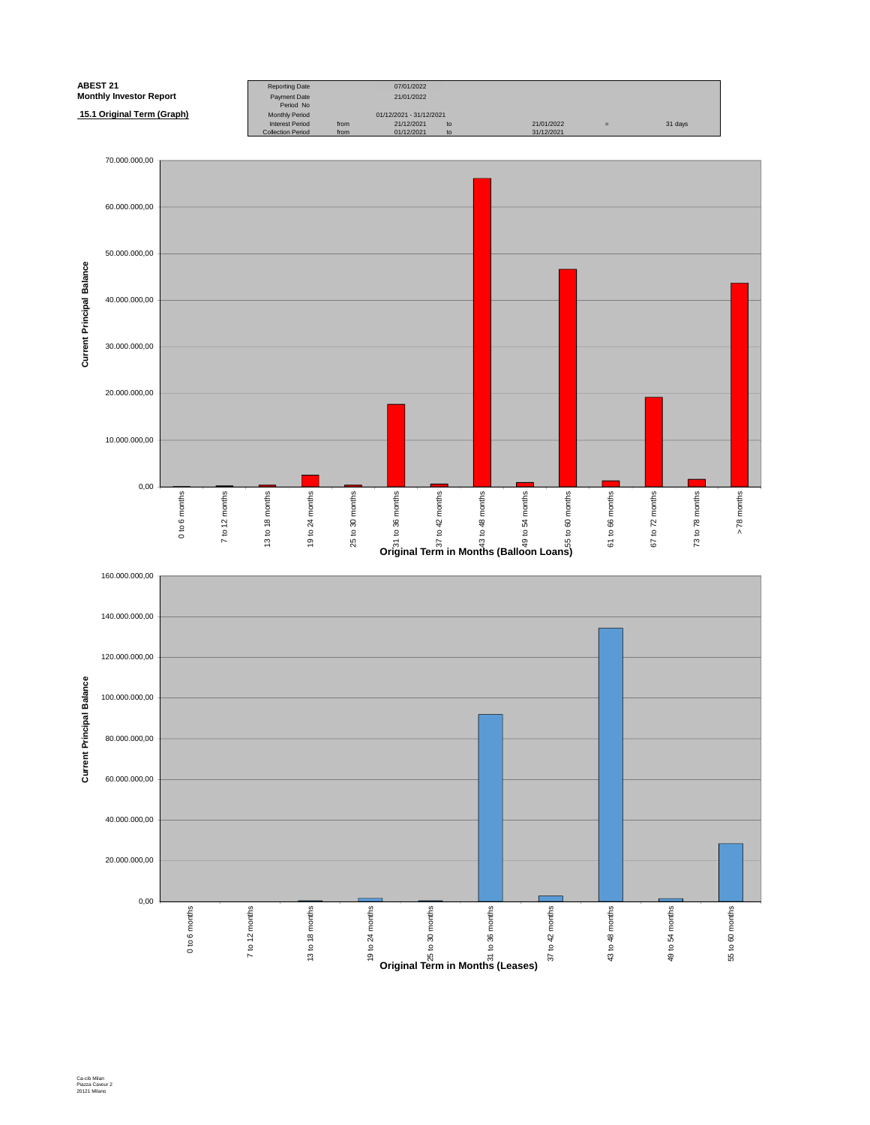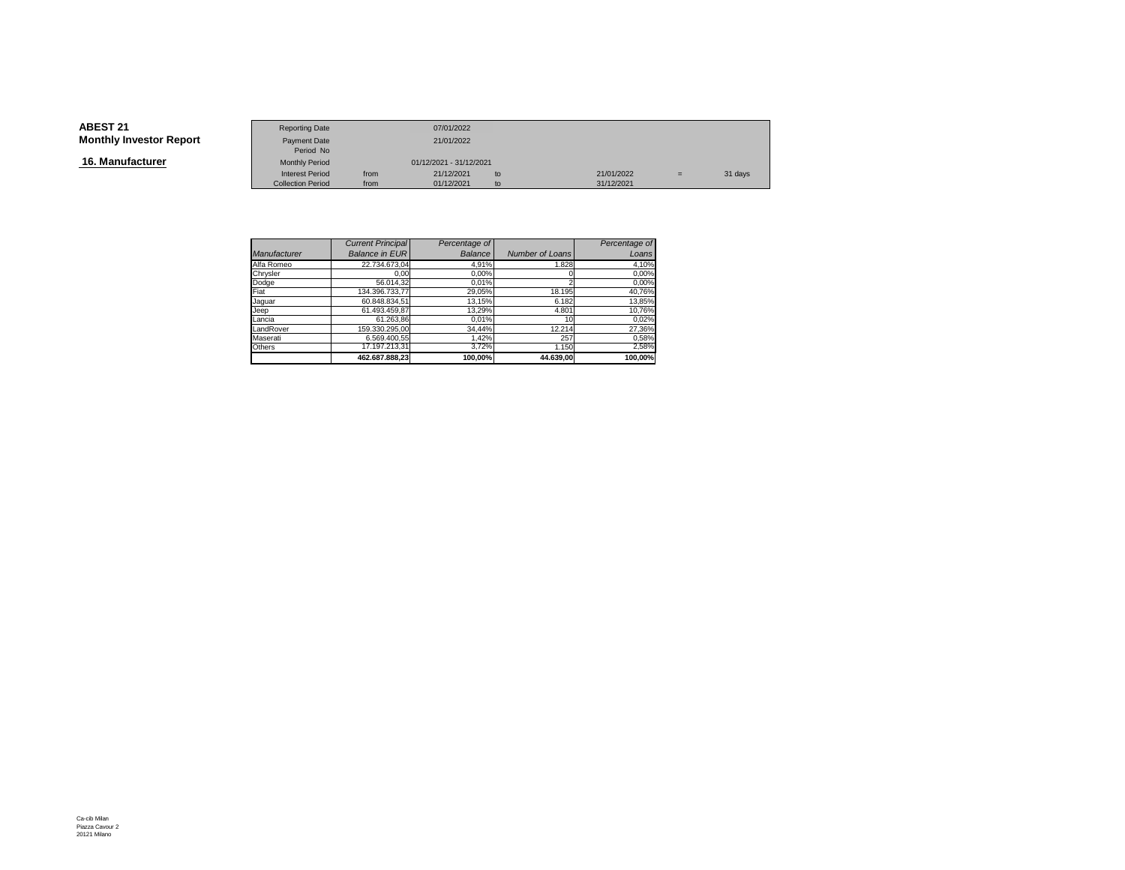**16. Manufacturer**

|                 | <b>Reporting Date</b>    |      | 07/01/2022              |    |            |     |         |
|-----------------|--------------------------|------|-------------------------|----|------------|-----|---------|
| Investor Report | Payment Date             |      | 21/01/2022              |    |            |     |         |
|                 | Period No                |      |                         |    |            |     |         |
| ıfacturer       | <b>Monthly Period</b>    |      | 01/12/2021 - 31/12/2021 |    |            |     |         |
|                 | <b>Interest Period</b>   | from | 21/12/2021              | to | 21/01/2022 | $=$ | 31 days |
|                 | <b>Collection Period</b> | from | 01/12/2021              | to | 31/12/2021 |     |         |

|                     | <b>Current Principal</b> | Percentage of  |                 | Percentage of |
|---------------------|--------------------------|----------------|-----------------|---------------|
| <b>Manufacturer</b> | <b>Balance in EUR</b>    | <b>Balance</b> | Number of Loans | Loans         |
| Alfa Romeo          | 22.734.673,04            | 4,91%          | 1.828           | 4,10%         |
| Chrysler            | 0.00                     | 0,00%          |                 | 0,00%         |
| Dodge               | 56.014.32                | 0.01%          |                 | 0,00%         |
| Fiat                | 134.396.733.77           | 29,05%         | 18.195          | 40,76%        |
| Jaquar              | 60.848.834.51            | 13,15%         | 6.182           | 13,85%        |
| Jeep                | 61.493.459.87            | 13.29%         | 4.801           | 10,76%        |
| Lancia              | 61.263.86                | 0.01%          | 10              | 0,02%         |
| LandRover           | 159.330.295.00           | 34.44%         | 12.214          | 27,36%        |
| Maserati            | 6.569.400.55             | 1,42%          | 257             | 0,58%         |
| Others              | 17.197.213,31            | 3,72%          | 1.150           | 2,58%         |
|                     | 462.687.888,23           | 100,00%        | 44.639,00       | 100,00%       |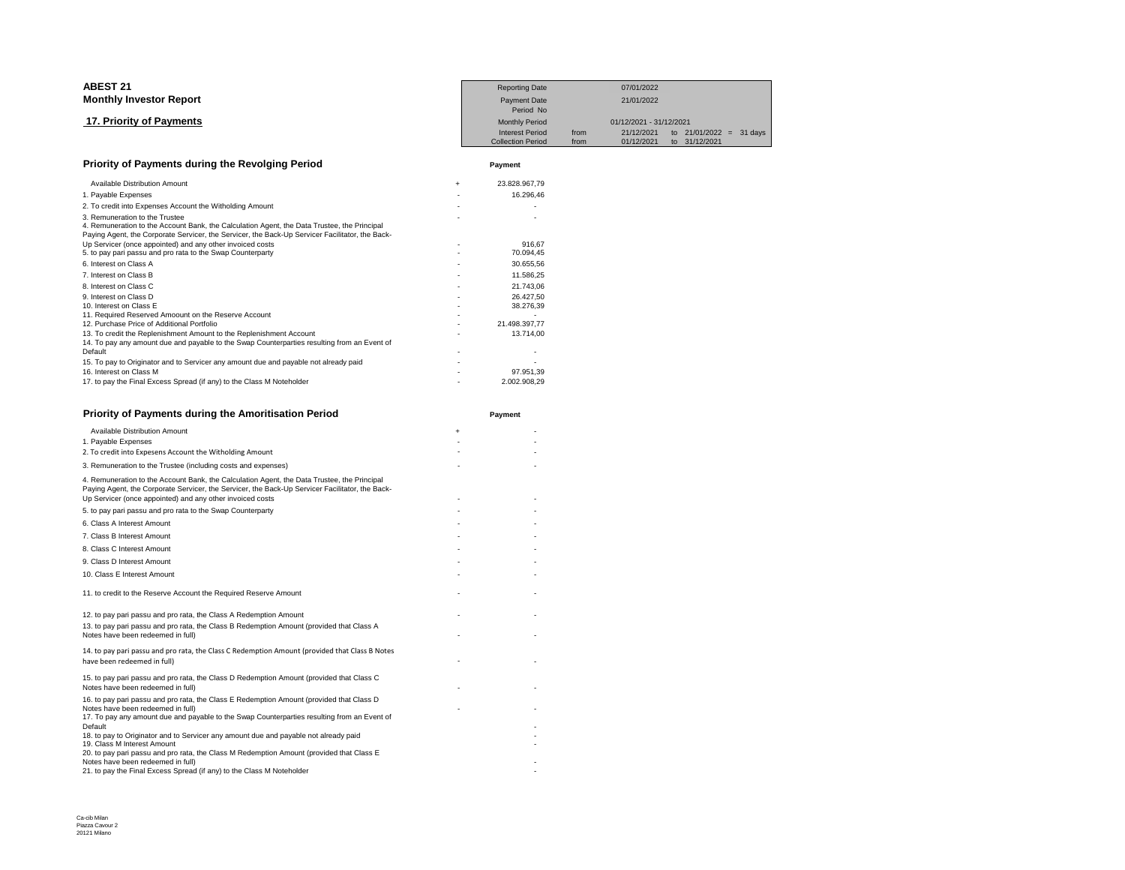| <b>ABEST 21</b>                                                                                                                                                                                                                  |     | <b>Reporting Date</b>            |      | 07/01/2022              |               |                |
|----------------------------------------------------------------------------------------------------------------------------------------------------------------------------------------------------------------------------------|-----|----------------------------------|------|-------------------------|---------------|----------------|
| <b>Monthly Investor Report</b>                                                                                                                                                                                                   |     | <b>Payment Date</b><br>Period No |      | 21/01/2022              |               |                |
| 17. Priority of Payments                                                                                                                                                                                                         |     | <b>Monthly Period</b>            |      | 01/12/2021 - 31/12/2021 |               |                |
|                                                                                                                                                                                                                                  |     | <b>Interest Period</b>           | from | 21/12/2021              | to 21/01/2022 | 31 days<br>$=$ |
|                                                                                                                                                                                                                                  |     | <b>Collection Period</b>         | from | 01/12/2021              | to 31/12/2021 |                |
| Priority of Payments during the Revolging Period                                                                                                                                                                                 |     | Payment                          |      |                         |               |                |
| Available Distribution Amount                                                                                                                                                                                                    | $+$ | 23.828.967,79                    |      |                         |               |                |
| 1. Payable Expenses                                                                                                                                                                                                              |     | 16.296,46                        |      |                         |               |                |
| 2. To credit into Expenses Account the Witholding Amount                                                                                                                                                                         |     |                                  |      |                         |               |                |
| 3. Remuneration to the Trustee<br>4. Remuneration to the Account Bank, the Calculation Agent, the Data Trustee, the Principal<br>Paying Agent, the Corporate Servicer, the Servicer, the Back-Up Servicer Facilitator, the Back- |     |                                  |      |                         |               |                |
| Up Servicer (once appointed) and any other invoiced costs                                                                                                                                                                        |     | 916.67                           |      |                         |               |                |
| 5. to pay pari passu and pro rata to the Swap Counterparty                                                                                                                                                                       |     | 70.094.45                        |      |                         |               |                |
| 6. Interest on Class A                                                                                                                                                                                                           |     | 30.655,56                        |      |                         |               |                |
| 7. Interest on Class B                                                                                                                                                                                                           |     | 11.586,25                        |      |                         |               |                |
| 8. Interest on Class C                                                                                                                                                                                                           |     | 21.743.06                        |      |                         |               |                |
| 9. Interest on Class D                                                                                                                                                                                                           |     | 26.427.50                        |      |                         |               |                |
| 10. Interest on Class E                                                                                                                                                                                                          |     | 38.276,39                        |      |                         |               |                |
| 11. Required Reserved Amoount on the Reserve Account<br>12. Purchase Price of Additional Portfolio                                                                                                                               |     |                                  |      |                         |               |                |
|                                                                                                                                                                                                                                  |     | 21.498.397.77                    |      |                         |               |                |
| 13. To credit the Replenishment Amount to the Replenishment Account<br>14. To pay any amount due and payable to the Swap Counterparties resulting from an Event of                                                               |     | 13.714,00                        |      |                         |               |                |
| Default                                                                                                                                                                                                                          |     |                                  |      |                         |               |                |
| 15. To pay to Originator and to Servicer any amount due and payable not already paid                                                                                                                                             |     |                                  |      |                         |               |                |
| 16. Interest on Class M                                                                                                                                                                                                          |     | 97.951,39                        |      |                         |               |                |
| 17. to pay the Final Excess Spread (if any) to the Class M Noteholder                                                                                                                                                            |     | 2.002.908.29                     |      |                         |               |                |

- 2.002.908,29

| <b>Priority of Payments during the Amoritisation Period</b>                                                                                                                                                                                                 | Payment   |
|-------------------------------------------------------------------------------------------------------------------------------------------------------------------------------------------------------------------------------------------------------------|-----------|
| <b>Available Distribution Amount</b>                                                                                                                                                                                                                        | $\ddot{}$ |
| 1. Payable Expenses                                                                                                                                                                                                                                         |           |
| 2. To credit into Expesens Account the Witholding Amount                                                                                                                                                                                                    |           |
| 3. Remuneration to the Trustee (including costs and expenses)                                                                                                                                                                                               |           |
| 4. Remuneration to the Account Bank, the Calculation Agent, the Data Trustee, the Principal<br>Paying Agent, the Corporate Servicer, the Servicer, the Back-Up Servicer Facilitator, the Back-<br>Up Servicer (once appointed) and any other invoiced costs |           |
| 5. to pay pari passu and pro rata to the Swap Counterparty                                                                                                                                                                                                  |           |
| 6. Class A Interest Amount                                                                                                                                                                                                                                  |           |
| 7. Class B Interest Amount                                                                                                                                                                                                                                  |           |
| 8. Class C Interest Amount                                                                                                                                                                                                                                  |           |
| 9. Class D Interest Amount                                                                                                                                                                                                                                  |           |
| 10. Class E Interest Amount                                                                                                                                                                                                                                 |           |
| 11. to credit to the Reserve Account the Required Reserve Amount                                                                                                                                                                                            |           |
| 12. to pay pari passu and pro rata, the Class A Redemption Amount                                                                                                                                                                                           |           |
| 13. to pay pari passu and pro rata, the Class B Redemption Amount (provided that Class A<br>Notes have been redeemed in full)                                                                                                                               |           |
| 14. to pay pari passu and pro rata, the Class C Redemption Amount (provided that Class B Notes<br>have been redeemed in full)                                                                                                                               |           |
| 15. to pay pari passu and pro rata, the Class D Redemption Amount (provided that Class C<br>Notes have been redeemed in full)                                                                                                                               |           |
| 16. to pay pari passu and pro rata, the Class E Redemption Amount (provided that Class D<br>Notes have been redeemed in full)                                                                                                                               |           |
| 17. To pay any amount due and payable to the Swap Counterparties resulting from an Event of<br>Default                                                                                                                                                      |           |
| 18. to pay to Originator and to Servicer any amount due and payable not already paid<br>19. Class M Interest Amount                                                                                                                                         |           |
| 20. to pay pari passu and pro rata, the Class M Redemption Amount (provided that Class E<br>Notes have been redeemed in full)                                                                                                                               |           |
| 21. to pay the Final Excess Spread (if any) to the Class M Noteholder                                                                                                                                                                                       |           |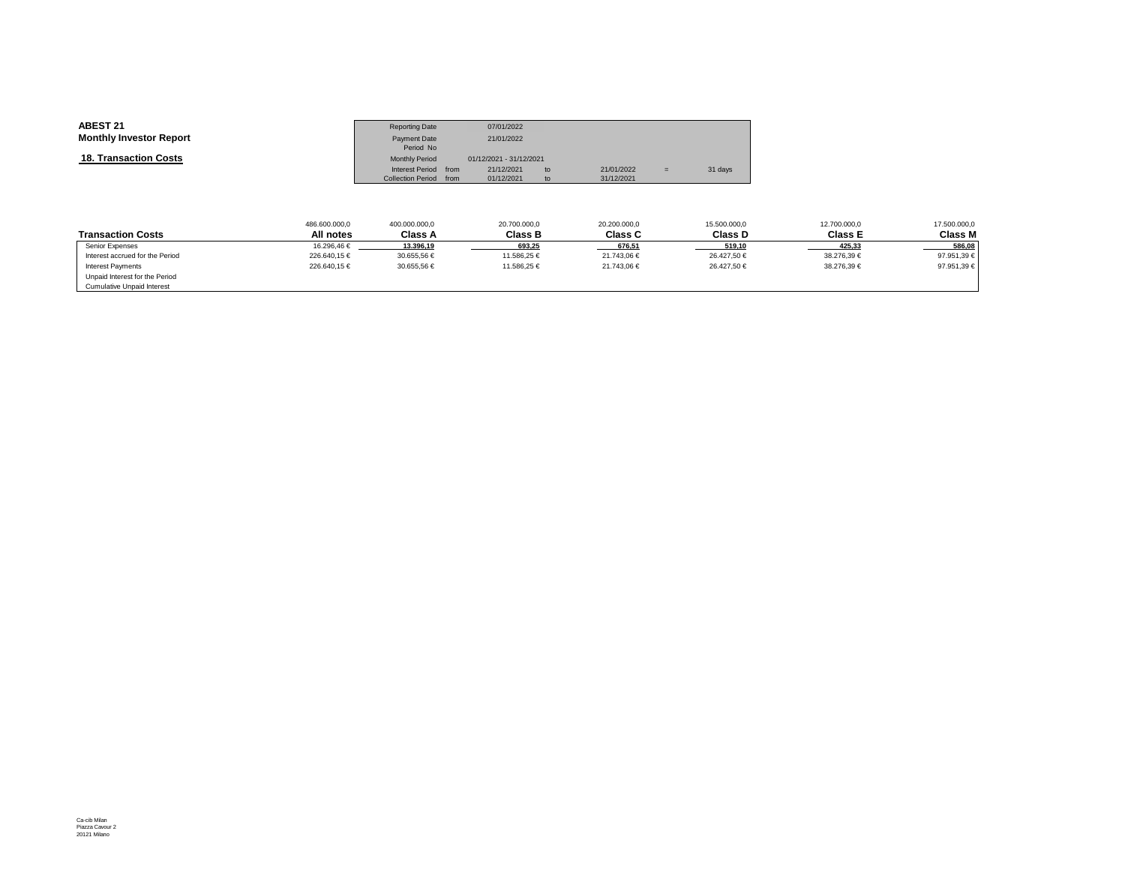| <b>ABEST 21</b>                | <b>Reporting Date</b>    |      | 07/01/2022              |    |            |     |         |
|--------------------------------|--------------------------|------|-------------------------|----|------------|-----|---------|
| <b>Monthly Investor Report</b> | <b>Payment Date</b>      |      | 21/01/2022              |    |            |     |         |
|                                | Period No                |      |                         |    |            |     |         |
| <b>18. Transaction Costs</b>   | <b>Monthly Period</b>    |      | 01/12/2021 - 31/12/2021 |    |            |     |         |
|                                | Interest Period          | from | 21/12/2021              | to | 21/01/2022 | $=$ | 31 days |
|                                | <b>Collection Period</b> | from | 01/12/2021              | to | 31/12/2021 |     |         |

|                                 | 486.600.000,0 | 400.000.000,0  | 20.700.000,0   | 20.200.000,0   | 15.500.000,0 | 12.700.000,0   | 17.500.000,0 |
|---------------------------------|---------------|----------------|----------------|----------------|--------------|----------------|--------------|
| <b>Transaction Costs</b>        | All notes     | <b>Class A</b> | <b>Class B</b> | <b>Class C</b> | Class D      | <b>Class E</b> | Class M      |
| Senior Expenses                 | 16.296.46 €   | 13.396.19      | 693.25         | 676.51         | 519.10       | 425.33         | 586.08       |
| Interest accrued for the Period | 226.640,15 €  | 30.655,56 €    | 11.586.25 €    | 21.743,06 €    | 26.427,50 €  | 38.276,39 €    | 97.951,39 €  |
| <b>Interest Payments</b>        | 226.640,15 €  | 30.655.56 €    | 11.586.25 €    | 21.743.06 €    | 26.427.50 €  | 38.276,39 €    | 97.951,39 €  |
| Unpaid Interest for the Period  |               |                |                |                |              |                |              |
| Cumulative Unpaid Interest      |               |                |                |                |              |                |              |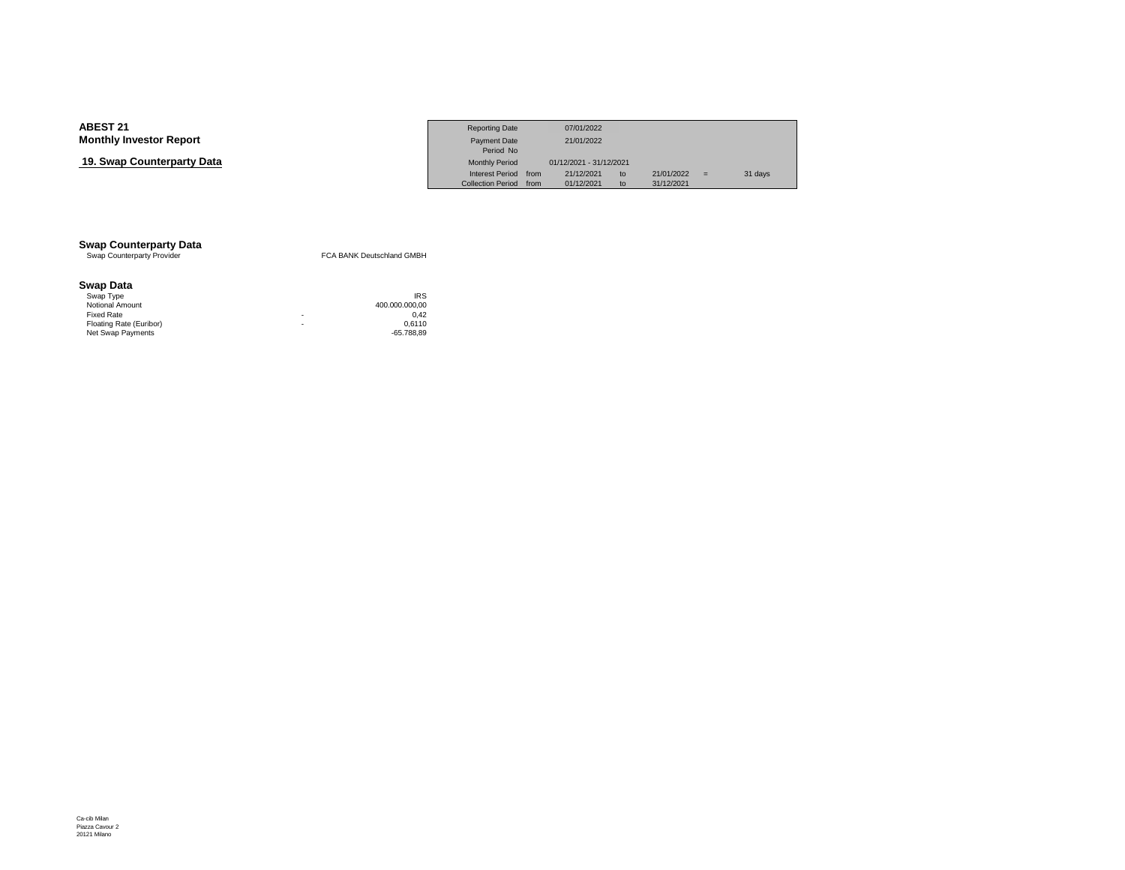### **19. Swap Counterparty Data**

|                            | <b>Reporting Date</b>    |      | 07/01/2022              |    |            |     |         |
|----------------------------|--------------------------|------|-------------------------|----|------------|-----|---------|
| Investor Report            | <b>Payment Date</b>      |      | 21/01/2022              |    |            |     |         |
|                            | Period No                |      |                         |    |            |     |         |
| <b>› Counterpartv Data</b> | <b>Monthly Period</b>    |      | 01/12/2021 - 31/12/2021 |    |            |     |         |
|                            | <b>Interest Period</b>   | from | 21/12/2021              | to | 21/01/2022 | $=$ | 31 days |
|                            | <b>Collection Period</b> | from | 01/12/2021              | to | 31/12/2021 |     |         |

# **Swap Counterparty Data**<br>
Swap Counterparty Provider

FCA BANK Deutschland GMBH

### **Swap Data**

| Swap Type               |   | <b>IRS</b>     |
|-------------------------|---|----------------|
| Notional Amount         |   | 400.000.000.00 |
| Fixed Rate              | ۰ | 0.42           |
| Floating Rate (Euribor) | ۰ | 0.6110         |
| Net Swap Payments       |   | $-65.788.89$   |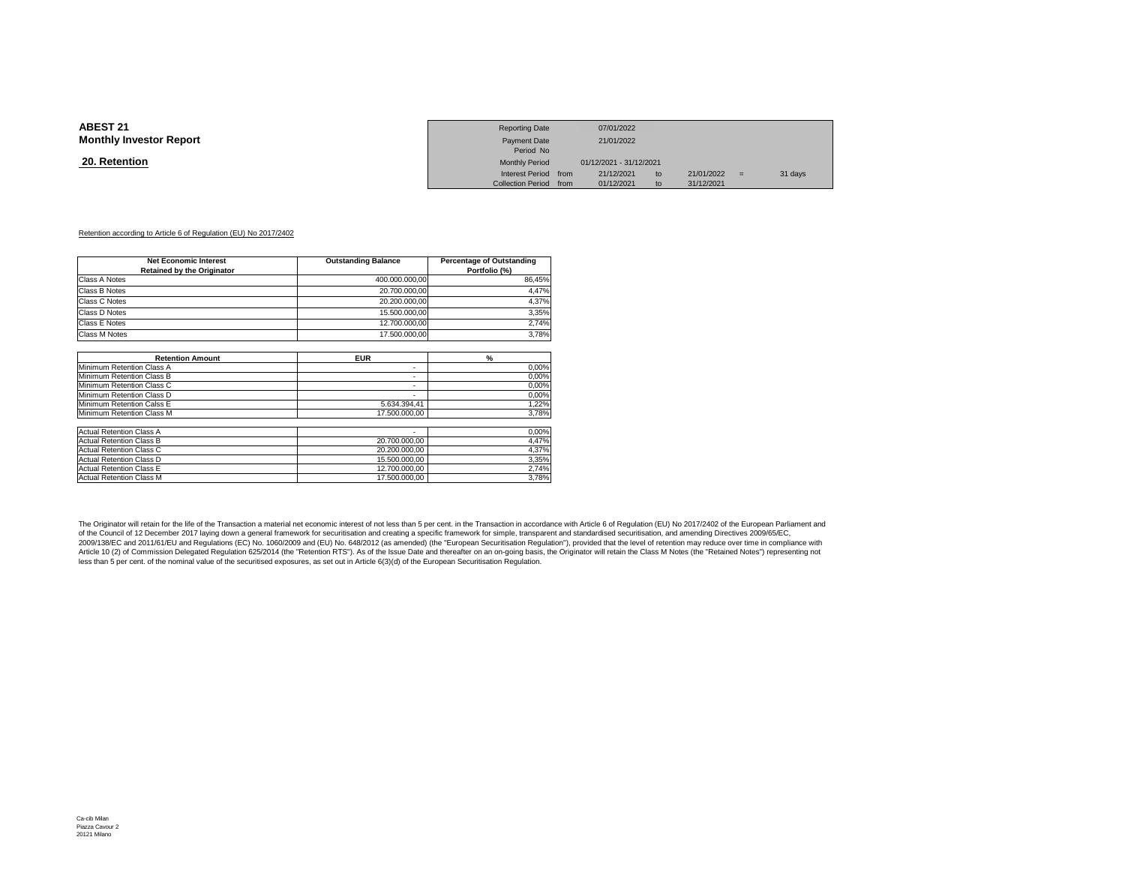### **20. Retention**

|                 | <b>Reporting Date</b>  | 07/01/2022              |    |            |     |         |
|-----------------|------------------------|-------------------------|----|------------|-----|---------|
| Investor Report | Payment Date           | 21/01/2022              |    |            |     |         |
|                 | Period No              |                         |    |            |     |         |
| <u>ntion</u>    | <b>Monthly Period</b>  | 01/12/2021 - 31/12/2021 |    |            |     |         |
|                 | Interest Period from   | 21/12/2021              | to | 21/01/2022 | $=$ | 31 days |
|                 | Collection Period from | 01/12/2021              | to | 31/12/2021 |     |         |

### Retention according to Article 6 of Regulation (EU) No 2017/2402

| <b>Net Economic Interest</b><br><b>Retained by the Originator</b> | <b>Outstanding Balance</b> | Percentage of Outstanding<br>Portfolio (%) |
|-------------------------------------------------------------------|----------------------------|--------------------------------------------|
| Class A Notes                                                     | 400.000.000,00             | 86,45%                                     |
| Class B Notes                                                     | 20.700.000,00              | 4,47%                                      |
| Class C Notes                                                     | 20.200.000.00              | 4,37%                                      |
| Class D Notes                                                     | 15.500.000.00              | 3,35%                                      |
| Class E Notes                                                     | 12.700.000.00              | 2,74%                                      |
| Class M Notes                                                     | 17.500.000.00              | 3,78%                                      |
|                                                                   |                            |                                            |
| <b>Retention Amount</b>                                           | <b>EUR</b>                 | $\frac{9}{6}$                              |
| Minimum Retention Class A                                         | ۰                          | 0,00%                                      |
| Minimum Retention Class B                                         | ۰                          | 0,00%                                      |
| Minimum Retention Class C                                         | ۰                          | 0,00%                                      |
| Minimum Retention Class D                                         | $\sim$                     | 0,00%                                      |
| Minimum Retention Calss E                                         | 5.634.394.41               | 1,22%                                      |
| Minimum Retention Class M                                         | 17.500.000.00              | 3,78%                                      |
| <b>Actual Retention Class A</b>                                   |                            | 0,00%                                      |
| <b>Actual Retention Class B</b>                                   | 20.700.000.00              | 4,47%                                      |
| <b>Actual Retention Class C</b>                                   | 20.200.000,00              | 4,37%                                      |
| <b>Actual Retention Class D</b>                                   | 15.500.000.00              | 3,35%                                      |
| <b>Actual Retention Class E</b>                                   | 12.700.000.00              | 2,74%                                      |
| <b>Actual Retention Class M</b>                                   | 17.500.000.00              | 3,78%                                      |

The Originator will retain for the life of the Transaction a material net economic interest of not less than 5 per cent. in the Transaction in accordance with Article 6 of Regulation (EU) No 2017/2402 of the European Parli of the Council of 12 December 2017 laying down a general framework for securitisation and creating a specific framework for simple, transparent and standardised securitisation, and amending Directives 2009/65/EC, 2009/138/EC and 2011/61/EU and Regulations (EC) No. 1060/2009 and (EU) No. 648/2012 (as amended) (the "European Securitisation Regulation"), provided that the level of retention may reduce over time in compliance with<br>Arti less than 5 per cent. of the nominal value of the securitised exposures, as set out in Article 6(3)(d) of the European Securitisation Regulation.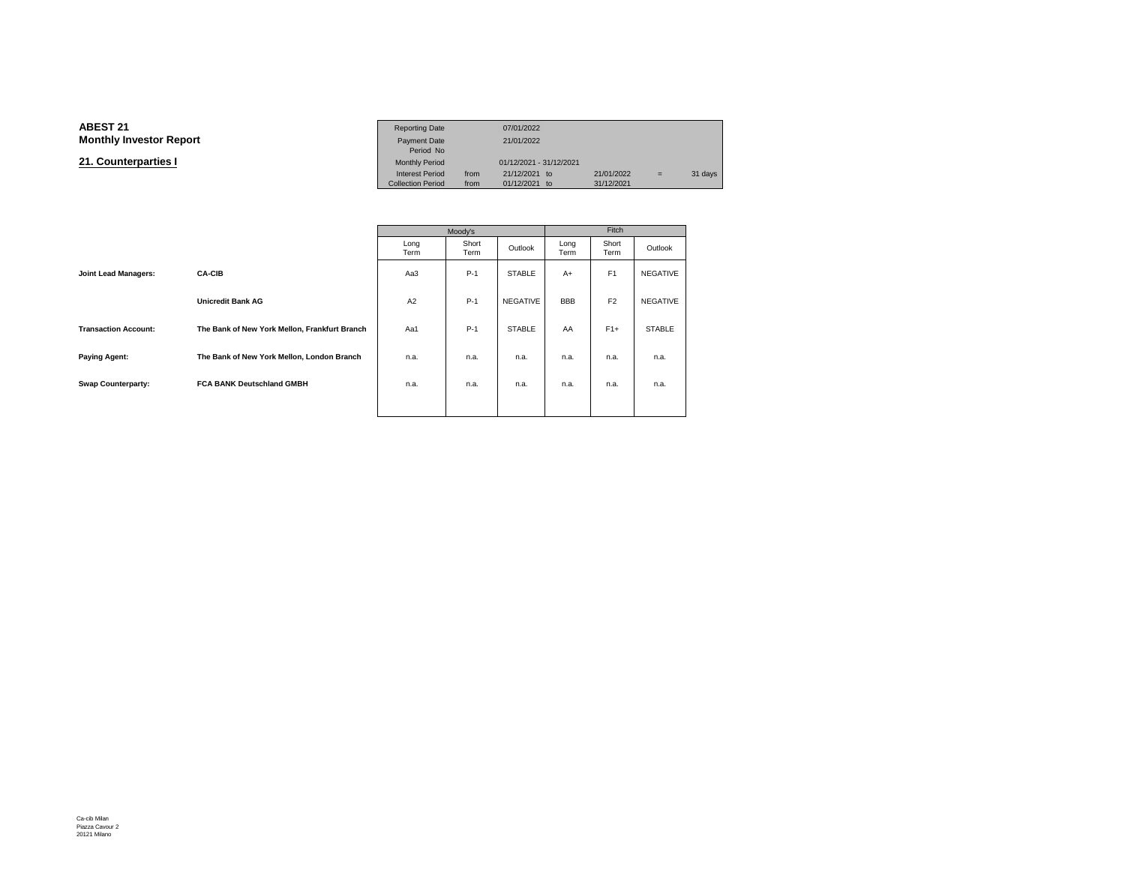#### **ABEST 21**Reporting Date 07/01/2022<br>Payment Date 21/01/2022 **Monthly Investor Reportt** Payment Date 21/01/2022<br>Period No Monthly Period **21. Counterparties I**Monthly Period 01/12/2021 - 31/12/2021<br>Interest Period from 21/12/2021 to  $\begin{array}{rcl}\n 1 & 21/12/2021 & 10 & 21/01/2022 & = & 31 \text{ days} \\
 10 & 0 & 21/12/2021 & 21/12/2021 & = & 31 \text{ days}\n\end{array}$ Collection Period

|                             |                                               |              | Moody's       | Fitch         |              |                |                 |
|-----------------------------|-----------------------------------------------|--------------|---------------|---------------|--------------|----------------|-----------------|
|                             |                                               | Long<br>Term | Short<br>Term | Outlook       | Long<br>Term | Short<br>Term  | Outlook         |
| Joint Lead Managers:        | <b>CA-CIB</b>                                 | Aa3          | $P-1$         | <b>STABLE</b> | $A+$         | F <sub>1</sub> | NEGATIVE        |
|                             | <b>Unicredit Bank AG</b>                      | A2           | $P-1$         | NEGATIVE      | <b>BBB</b>   | F <sub>2</sub> | <b>NEGATIVE</b> |
| <b>Transaction Account:</b> | The Bank of New York Mellon, Frankfurt Branch | Aa1          | $P-1$         | <b>STABLE</b> | AA           | $F1+$          | <b>STABLE</b>   |
| <b>Paying Agent:</b>        | The Bank of New York Mellon, London Branch    | n.a.         | n.a.          | n.a.          | n.a.         | n.a.           | n.a.            |
| <b>Swap Counterparty:</b>   | <b>FCA BANK Deutschland GMBH</b>              | n.a.         | n.a.          | n.a.          | n.a.         | n.a.           | n.a.            |
|                             |                                               |              |               |               |              |                |                 |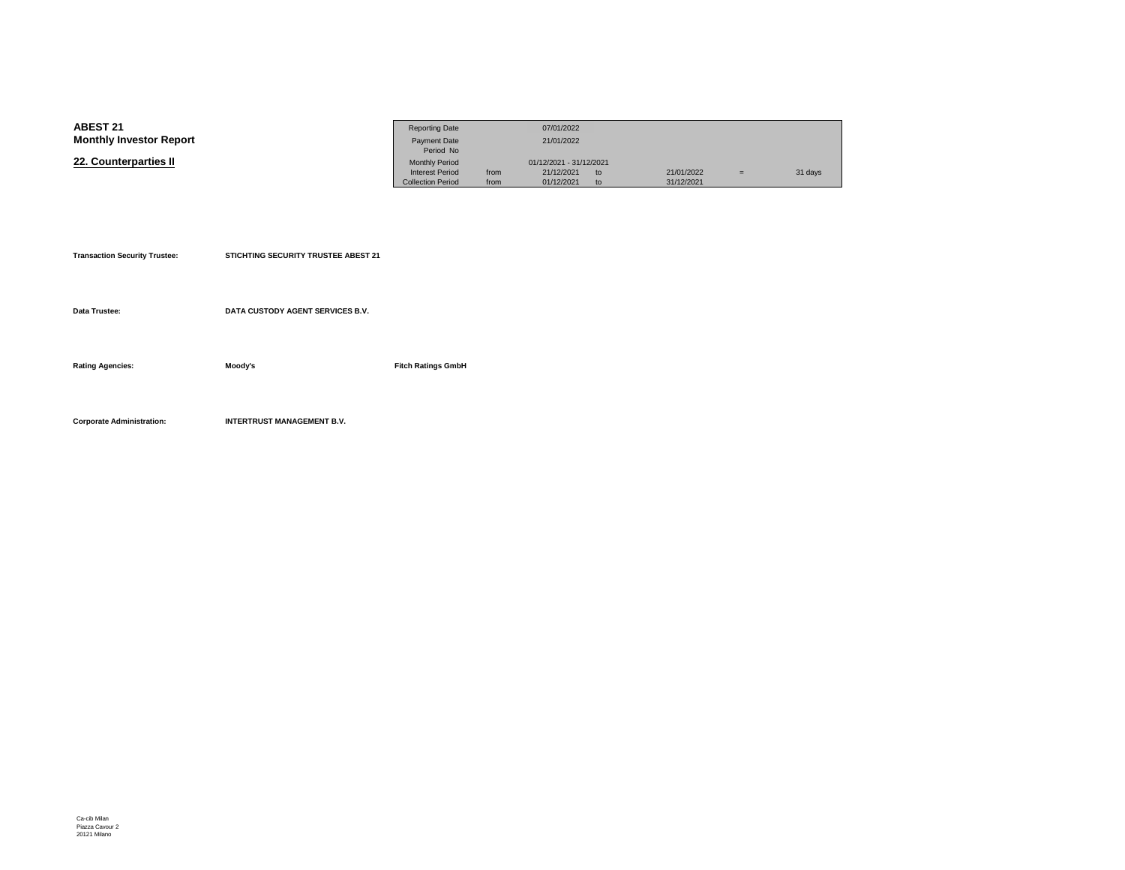| <b>ABEST 21</b>                | <b>Reporting Date</b>    |      | 07/01/2022              |    |            |     |         |
|--------------------------------|--------------------------|------|-------------------------|----|------------|-----|---------|
| <b>Monthly Investor Report</b> | <b>Payment Date</b>      |      | 21/01/2022              |    |            |     |         |
|                                | Period No                |      |                         |    |            |     |         |
| 22. Counterparties II          | <b>Monthly Period</b>    |      | 01/12/2021 - 31/12/2021 |    |            |     |         |
|                                | <b>Interest Period</b>   | from | 21/12/2021              | to | 21/01/2022 | $=$ | 31 days |
|                                | <b>Collection Period</b> | from | 01/12/2021              | to | 31/12/2021 |     |         |

| <b>Transaction Security Trustee:</b> | STICHTING SECURITY TRUSTEE ABEST 21 |                           |
|--------------------------------------|-------------------------------------|---------------------------|
| Data Trustee:                        | DATA CUSTODY AGENT SERVICES B.V.    |                           |
| <b>Rating Agencies:</b>              | Moody's                             | <b>Fitch Ratings GmbH</b> |
| <b>Corporate Administration:</b>     | <b>INTERTRUST MANAGEMENT B.V.</b>   |                           |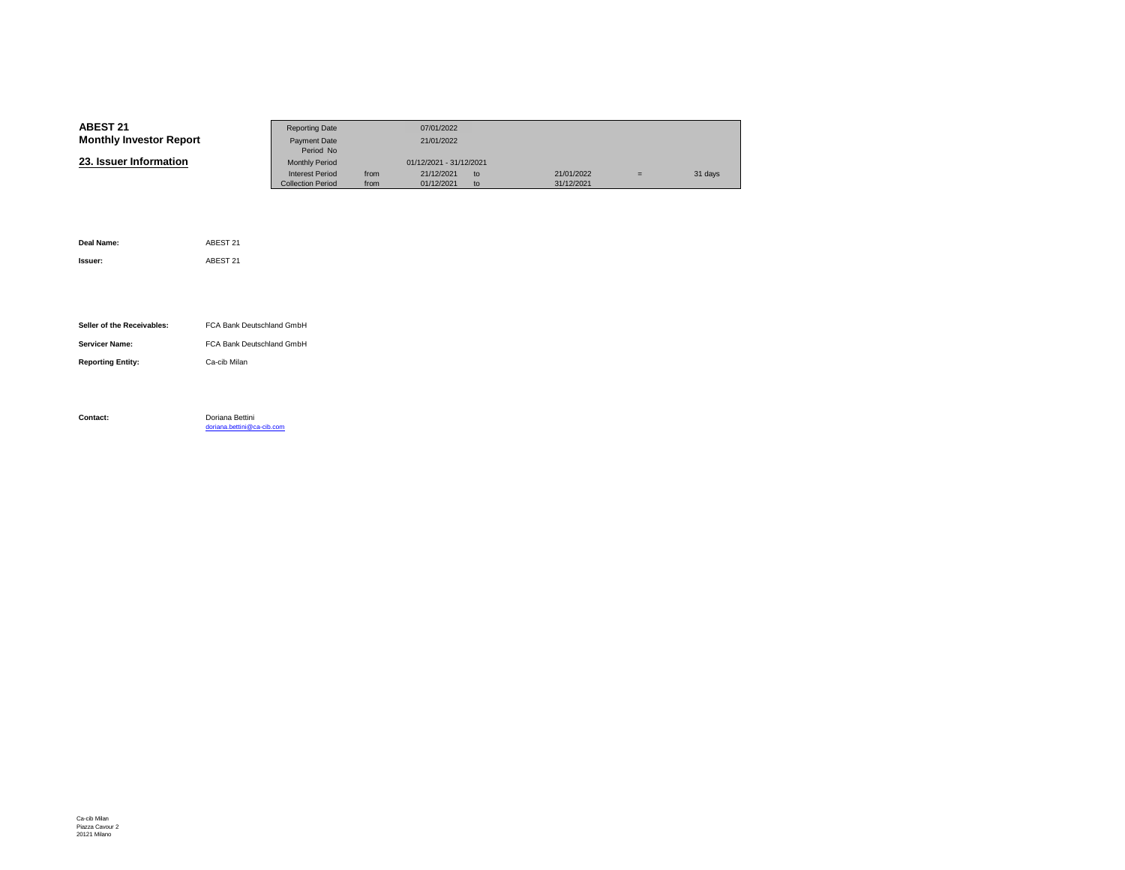| <b>ABEST 21</b>                | <b>Reporting Date</b>    |      | 07/01/2022                 |            |   |         |
|--------------------------------|--------------------------|------|----------------------------|------------|---|---------|
| <b>Monthly Investor Report</b> | Payment Date             |      | 21/01/2022                 |            |   |         |
|                                | Period No                |      |                            |            |   |         |
| 23. Issuer Information         | <b>Monthly Period</b>    |      | 01/12/2021 - 31/12/2021    |            |   |         |
|                                | <b>Interest Period</b>   | from | 21/12/2021<br>$t_{\Omega}$ | 21/01/2022 | Ξ | 31 days |
|                                | <b>Collection Period</b> | from | 01/12/2021<br>to           | 31/12/2021 |   |         |

| Deal Name:                 | ABEST 21                                      |
|----------------------------|-----------------------------------------------|
| Issuer:                    | ABEST 21                                      |
|                            |                                               |
|                            |                                               |
| Seller of the Receivables: | FCA Bank Deutschland GmbH                     |
| <b>Servicer Name:</b>      | FCA Bank Deutschland GmbH                     |
| <b>Reporting Entity:</b>   | Ca-cib Milan                                  |
|                            |                                               |
|                            |                                               |
| Contact:                   | Doriana Bettini<br>doriana.bettini@ca-cib.com |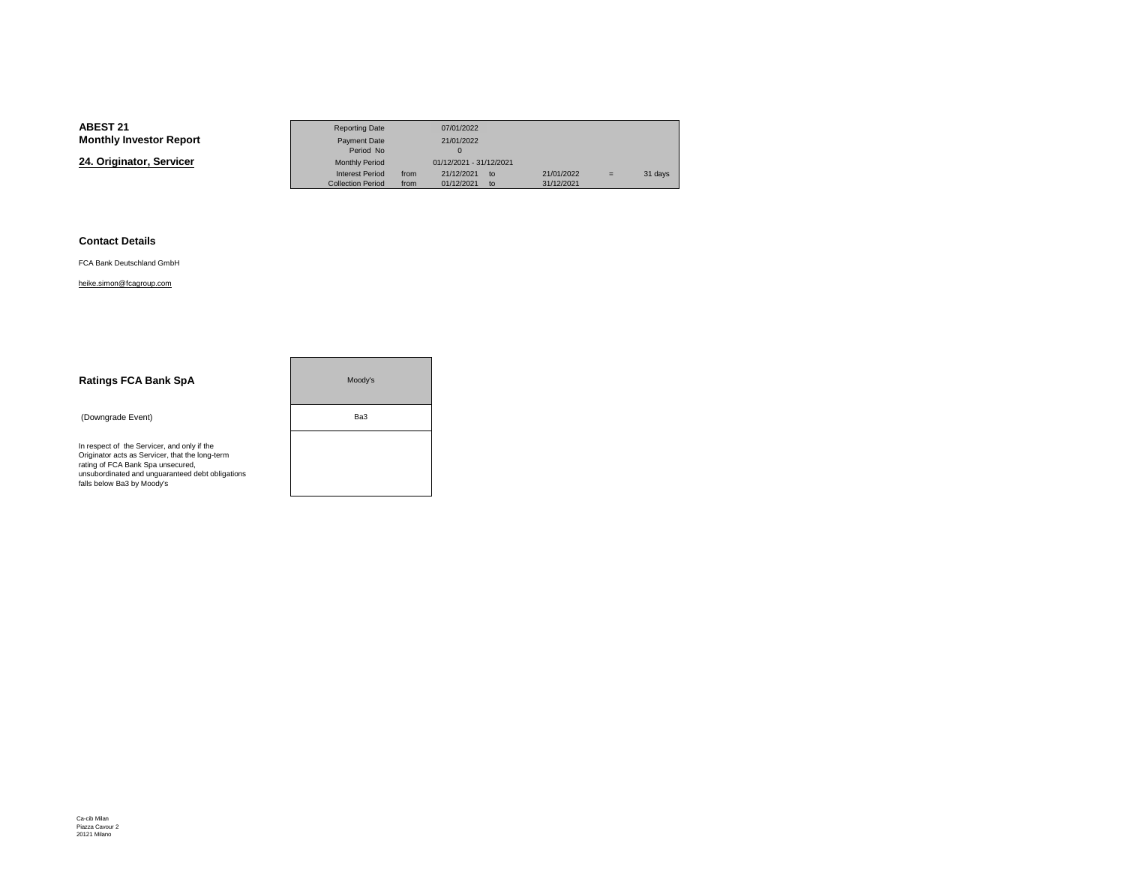**24. Originator, Servicer**

|                 | <b>Reporting Date</b>    |      | 07/01/2022                 |            |     |         |
|-----------------|--------------------------|------|----------------------------|------------|-----|---------|
| Investor Report | Payment Date             |      | 21/01/2022                 |            |     |         |
|                 | Period No                |      |                            |            |     |         |
| nator. Servicer | <b>Monthly Period</b>    |      | 01/12/2021 - 31/12/2021    |            |     |         |
|                 | <b>Interest Period</b>   | from | 21/12/2021<br>to           | 21/01/2022 | $=$ | 31 days |
|                 | <b>Collection Period</b> | from | 01/12/2021<br>$t_{\Omega}$ | 31/12/2021 |     |         |

### **Contact Details**

FCA Bank Deutschland GmbH

### heike.simon@fcagroup.com

| <b>Ratings FCA Bank SpA</b>                                                                                                                                                                                           | Moody's |  |
|-----------------------------------------------------------------------------------------------------------------------------------------------------------------------------------------------------------------------|---------|--|
| (Downgrade Event)                                                                                                                                                                                                     | Ba3     |  |
| In respect of the Servicer, and only if the<br>Originator acts as Servicer, that the long-term<br>rating of FCA Bank Spa unsecured,<br>unsubordinated and unquaranteed debt obligations<br>falls below Ba3 by Moody's |         |  |